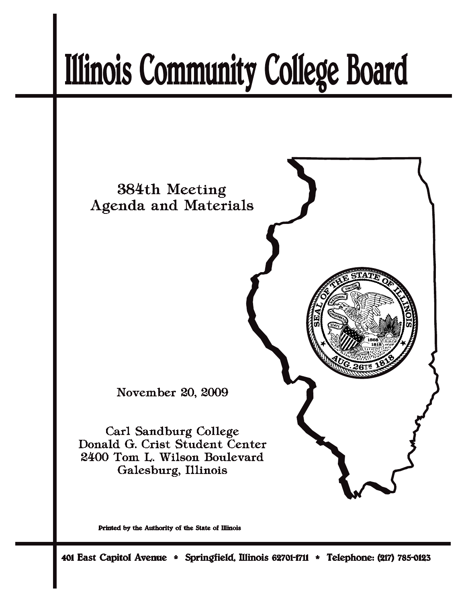# **Illinois Community College Board**



Printed by the Authority of the State of Illinois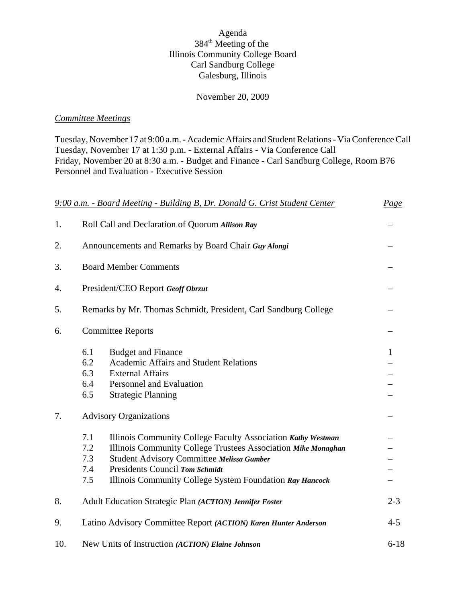## Agenda 384th Meeting of the Illinois Community College Board Carl Sandburg College Galesburg, Illinois

#### November 20, 2009

#### *Committee Meetings*

Tuesday, November 17 at 9:00 a.m. - Academic Affairs and Student Relations - Via Conference Call Tuesday, November 17 at 1:30 p.m. - External Affairs - Via Conference Call Friday, November 20 at 8:30 a.m. - Budget and Finance - Carl Sandburg College, Room B76 Personnel and Evaluation - Executive Session

|     | 9:00 a.m. - Board Meeting - Building B, Dr. Donald G. Crist Student Center                                                                                                                                                                                                                                  | Page         |
|-----|-------------------------------------------------------------------------------------------------------------------------------------------------------------------------------------------------------------------------------------------------------------------------------------------------------------|--------------|
| 1.  | Roll Call and Declaration of Quorum Allison Ray                                                                                                                                                                                                                                                             |              |
| 2.  | Announcements and Remarks by Board Chair Guy Alongi                                                                                                                                                                                                                                                         |              |
| 3.  | <b>Board Member Comments</b>                                                                                                                                                                                                                                                                                |              |
| 4.  | President/CEO Report Geoff Obrzut                                                                                                                                                                                                                                                                           |              |
| 5.  | Remarks by Mr. Thomas Schmidt, President, Carl Sandburg College                                                                                                                                                                                                                                             |              |
| 6.  | <b>Committee Reports</b>                                                                                                                                                                                                                                                                                    |              |
|     | 6.1<br><b>Budget and Finance</b><br>6.2<br><b>Academic Affairs and Student Relations</b><br>6.3<br><b>External Affairs</b><br>6.4<br>Personnel and Evaluation<br>6.5<br><b>Strategic Planning</b>                                                                                                           | $\mathbf{1}$ |
| 7.  | <b>Advisory Organizations</b>                                                                                                                                                                                                                                                                               |              |
|     | 7.1<br>Illinois Community College Faculty Association Kathy Westman<br>7.2<br>Illinois Community College Trustees Association Mike Monaghan<br>7.3<br>Student Advisory Committee Melissa Gamber<br>7.4<br>Presidents Council Tom Schmidt<br>7.5<br>Illinois Community College System Foundation Ray Hancock |              |
| 8.  | Adult Education Strategic Plan (ACTION) Jennifer Foster                                                                                                                                                                                                                                                     | $2 - 3$      |
| 9.  | Latino Advisory Committee Report (ACTION) Karen Hunter Anderson                                                                                                                                                                                                                                             | $4 - 5$      |
| 10. | New Units of Instruction (ACTION) Elaine Johnson                                                                                                                                                                                                                                                            | $6 - 18$     |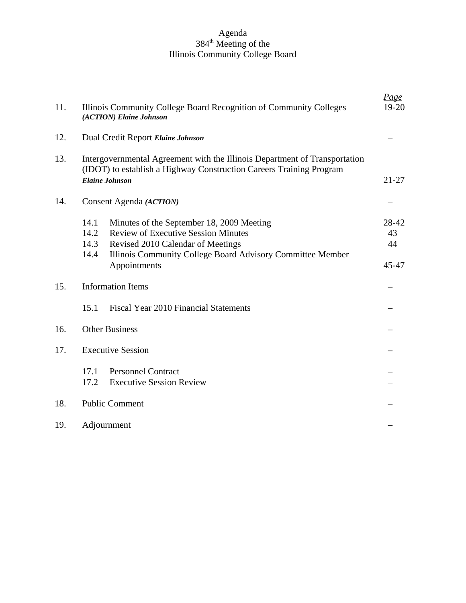#### Agenda 384<sup>th</sup> Meeting of the Illinois Community College Board

| 11. | Illinois Community College Board Recognition of Community Colleges<br>(ACTION) Elaine Johnson                                                                                                                                              | <u>Page</u><br>$19-20$     |
|-----|--------------------------------------------------------------------------------------------------------------------------------------------------------------------------------------------------------------------------------------------|----------------------------|
| 12. | Dual Credit Report Elaine Johnson                                                                                                                                                                                                          |                            |
| 13. | Intergovernmental Agreement with the Illinois Department of Transportation<br>(IDOT) to establish a Highway Construction Careers Training Program<br><b>Elaine Johnson</b>                                                                 | $21 - 27$                  |
| 14. | Consent Agenda ( <i>ACTION</i> )                                                                                                                                                                                                           |                            |
|     | 14.1<br>Minutes of the September 18, 2009 Meeting<br><b>Review of Executive Session Minutes</b><br>14.2<br>14.3<br>Revised 2010 Calendar of Meetings<br>14.4<br>Illinois Community College Board Advisory Committee Member<br>Appointments | 28-42<br>43<br>44<br>45-47 |
| 15. | <b>Information Items</b>                                                                                                                                                                                                                   |                            |
|     | 15.1<br>Fiscal Year 2010 Financial Statements                                                                                                                                                                                              |                            |
| 16. | <b>Other Business</b>                                                                                                                                                                                                                      |                            |
| 17. | <b>Executive Session</b>                                                                                                                                                                                                                   |                            |
|     | 17.1<br><b>Personnel Contract</b><br><b>Executive Session Review</b><br>17.2                                                                                                                                                               |                            |
| 18. | <b>Public Comment</b>                                                                                                                                                                                                                      |                            |
| 19. | Adjournment                                                                                                                                                                                                                                |                            |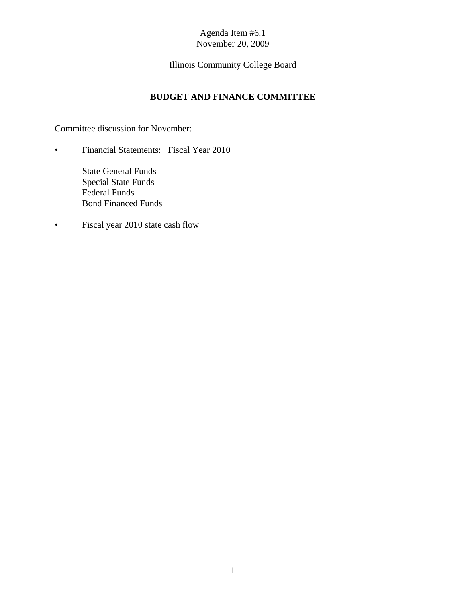# Illinois Community College Board

## **BUDGET AND FINANCE COMMITTEE**

Committee discussion for November:

• Financial Statements: Fiscal Year 2010

State General Funds Special State Funds Federal Funds Bond Financed Funds

• Fiscal year 2010 state cash flow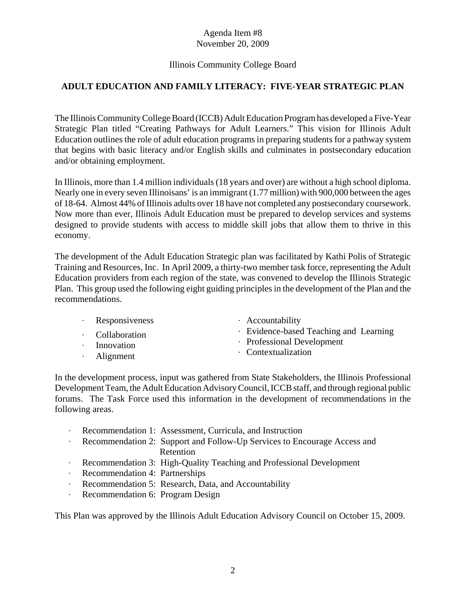## Illinois Community College Board

# **ADULT EDUCATION AND FAMILY LITERACY: FIVE-YEAR STRATEGIC PLAN**

The Illinois Community College Board (ICCB) Adult Education Program has developed a Five-Year Strategic Plan titled "Creating Pathways for Adult Learners." This vision for Illinois Adult Education outlines the role of adult education programs in preparing students for a pathway system that begins with basic literacy and/or English skills and culminates in postsecondary education and/or obtaining employment.

In Illinois, more than 1.4 million individuals (18 years and over) are without a high school diploma. Nearly one in every seven Illinoisans' is an immigrant (1.77 million) with 900,000 between the ages of 18-64. Almost 44% of Illinois adults over 18 have not completed any postsecondary coursework. Now more than ever, Illinois Adult Education must be prepared to develop services and systems designed to provide students with access to middle skill jobs that allow them to thrive in this economy.

The development of the Adult Education Strategic plan was facilitated by Kathi Polis of Strategic Training and Resources, Inc. In April 2009, a thirty-two member task force, representing the Adult Education providers from each region of the state, was convened to develop the Illinois Strategic Plan. This group used the following eight guiding principles in the development of the Plan and the recommendations.

| Responsiveness |  |
|----------------|--|
|----------------|--|

- · Collaboration
- Innovation
- $\cdot$  Alignment
- $\cdot$  Accountability
- $\cdot$  Evidence-based Teaching and Learning
- $\cdot$  Professional Development
- $\cdot$  Contextualization

In the development process, input was gathered from State Stakeholders, the Illinois Professional Development Team, the Adult Education Advisory Council, ICCB staff, and through regional public forums. The Task Force used this information in the development of recommendations in the following areas.

- external Recommendation 1: Assessment, Curricula, and Instruction
- Recommendation 2: Support and Follow-Up Services to Encourage Access and Retention
- q Recommendation 3: High-Quality Teaching and Professional Development
- Recommendation 4: Partnerships
- Recommendation 5: Research, Data, and Accountability
- Recommendation 6: Program Design

This Plan was approved by the Illinois Adult Education Advisory Council on October 15, 2009.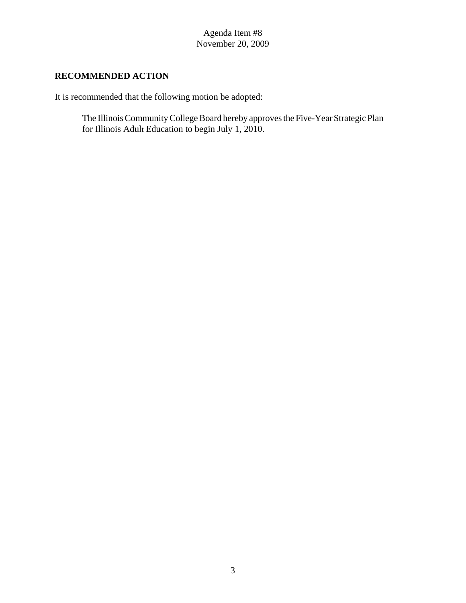# **RECOMMENDED ACTION**

It is recommended that the following motion be adopted:

The Illinois Community College Board hereby approves the Five-Year Strategic Plan for Illinois Adult Education to begin July 1, 2010.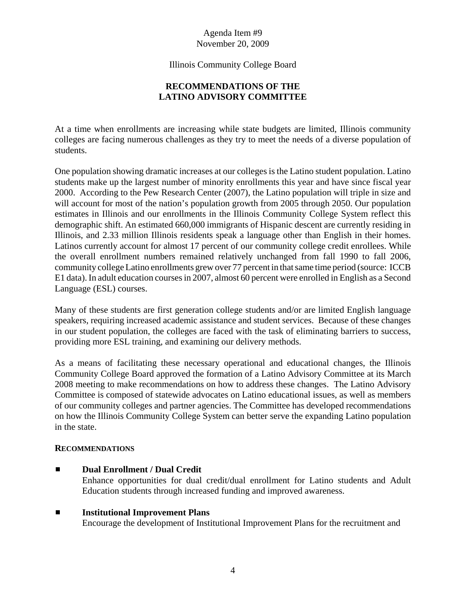Illinois Community College Board

## **RECOMMENDATIONS OF THE LATINO ADVISORY COMMITTEE**

At a time when enrollments are increasing while state budgets are limited, Illinois community colleges are facing numerous challenges as they try to meet the needs of a diverse population of students.

One population showing dramatic increases at our colleges is the Latino student population. Latino students make up the largest number of minority enrollments this year and have since fiscal year 2000. According to the Pew Research Center (2007), the Latino population will triple in size and will account for most of the nation's population growth from 2005 through 2050. Our population estimates in Illinois and our enrollments in the Illinois Community College System reflect this demographic shift. An estimated 660,000 immigrants of Hispanic descent are currently residing in Illinois, and 2.33 million Illinois residents speak a language other than English in their homes. Latinos currently account for almost 17 percent of our community college credit enrollees. While the overall enrollment numbers remained relatively unchanged from fall 1990 to fall 2006, community college Latino enrollments grew over 77 percent in that same time period (source: ICCB E1 data). In adult education courses in 2007, almost 60 percent were enrolled in English as a Second Language (ESL) courses.

Many of these students are first generation college students and/or are limited English language speakers, requiring increased academic assistance and student services. Because of these changes in our student population, the colleges are faced with the task of eliminating barriers to success, providing more ESL training, and examining our delivery methods.

As a means of facilitating these necessary operational and educational changes, the Illinois Community College Board approved the formation of a Latino Advisory Committee at its March 2008 meeting to make recommendations on how to address these changes. The Latino Advisory Committee is composed of statewide advocates on Latino educational issues, as well as members of our community colleges and partner agencies. The Committee has developed recommendations on how the Illinois Community College System can better serve the expanding Latino population in the state.

## **RECOMMENDATIONS**

- **Dual Enrollment / Dual Credit** Enhance opportunities for dual credit/dual enrollment for Latino students and Adult Education students through increased funding and improved awareness.
- $\blacksquare$  Institutional Improvement Plans Encourage the development of Institutional Improvement Plans for the recruitment and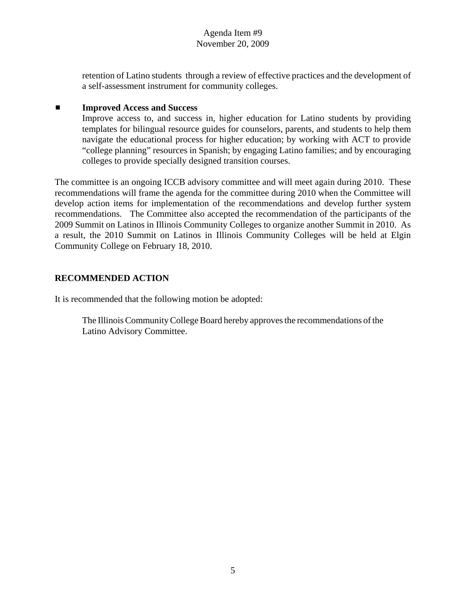retention of Latino students through a review of effective practices and the development of a self-assessment instrument for community colleges.

#### ■ **Improved Access and Success**

Improve access to, and success in, higher education for Latino students by providing templates for bilingual resource guides for counselors, parents, and students to help them navigate the educational process for higher education; by working with ACT to provide "college planning" resources in Spanish; by engaging Latino families; and by encouraging colleges to provide specially designed transition courses.

The committee is an ongoing ICCB advisory committee and will meet again during 2010. These recommendations will frame the agenda for the committee during 2010 when the Committee will develop action items for implementation of the recommendations and develop further system recommendations. The Committee also accepted the recommendation of the participants of the 2009 Summit on Latinos in Illinois Community Colleges to organize another Summit in 2010. As a result, the 2010 Summit on Latinos in Illinois Community Colleges will be held at Elgin Community College on February 18, 2010.

## **RECOMMENDED ACTION**

It is recommended that the following motion be adopted:

The Illinois Community College Board hereby approves the recommendations of the Latino Advisory Committee.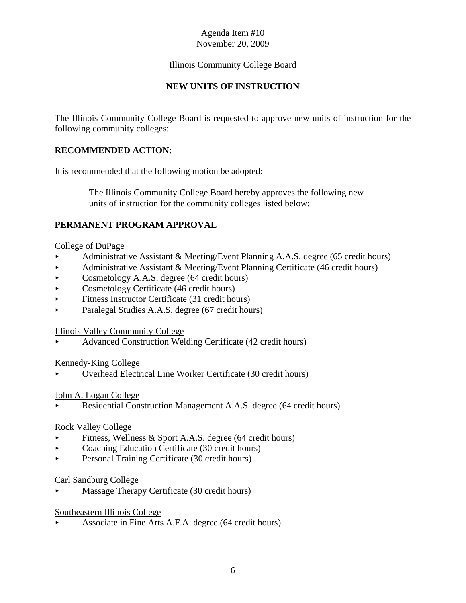## Illinois Community College Board

## **NEW UNITS OF INSTRUCTION**

The Illinois Community College Board is requested to approve new units of instruction for the following community colleges:

## **RECOMMENDED ACTION:**

It is recommended that the following motion be adopted:

 The Illinois Community College Board hereby approves the following new units of instruction for the community colleges listed below:

## **PERMANENT PROGRAM APPROVAL**

#### College of DuPage

- < Administrative Assistant & Meeting/Event Planning A.A.S. degree (65 credit hours)
- Administrative Assistant & Meeting/Event Planning Certificate (46 credit hours)
- $\triangleright$  Cosmetology A.A.S. degree (64 credit hours)
- Cosmetology Certificate (46 credit hours)
- $\blacktriangleright$  Fitness Instructor Certificate (31 credit hours)
- Paralegal Studies A.A.S. degree (67 credit hours)

#### Illinois Valley Community College

< Advanced Construction Welding Certificate (42 credit hours)

#### Kennedy-King College

< Overhead Electrical Line Worker Certificate (30 credit hours)

#### John A. Logan College

Residential Construction Management A.A.S. degree (64 credit hours)

#### Rock Valley College

- Fitness, Wellness & Sport A.A.S. degree (64 credit hours)
- Coaching Education Certificate (30 credit hours)
- Personal Training Certificate (30 credit hours)

#### Carl Sandburg College

< Massage Therapy Certificate (30 credit hours)

#### Southeastern Illinois College

< Associate in Fine Arts A.F.A. degree (64 credit hours)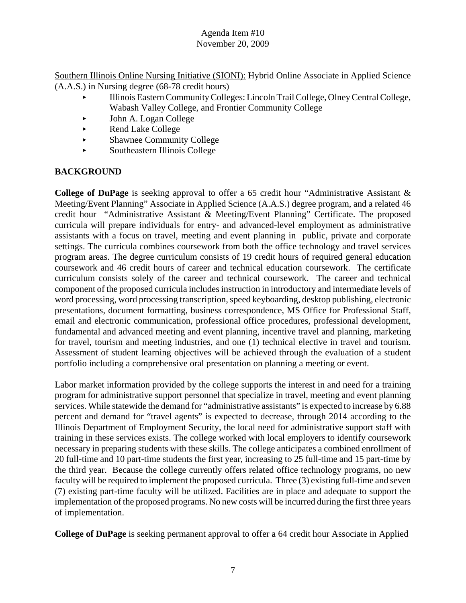Southern Illinois Online Nursing Initiative (SIONI): Hybrid Online Associate in Applied Science (A.A.S.) in Nursing degree (68-78 credit hours)

- < Illinois Eastern Community Colleges: Lincoln Trail College, Olney Central College, Wabash Valley College, and Frontier Community College
- < John A. Logan College
- ► Rend Lake College
- < Shawnee Community College
- < Southeastern Illinois College

# **BACKGROUND**

**College of DuPage** is seeking approval to offer a 65 credit hour "Administrative Assistant & Meeting/Event Planning" Associate in Applied Science (A.A.S.) degree program, and a related 46 credit hour "Administrative Assistant & Meeting/Event Planning" Certificate. The proposed curricula will prepare individuals for entry- and advanced-level employment as administrative assistants with a focus on travel, meeting and event planning in public, private and corporate settings. The curricula combines coursework from both the office technology and travel services program areas. The degree curriculum consists of 19 credit hours of required general education coursework and 46 credit hours of career and technical education coursework. The certificate curriculum consists solely of the career and technical coursework. The career and technical component of the proposed curricula includes instruction in introductory and intermediate levels of word processing, word processing transcription, speed keyboarding, desktop publishing, electronic presentations, document formatting, business correspondence, MS Office for Professional Staff, email and electronic communication, professional office procedures, professional development, fundamental and advanced meeting and event planning, incentive travel and planning, marketing for travel, tourism and meeting industries, and one (1) technical elective in travel and tourism. Assessment of student learning objectives will be achieved through the evaluation of a student portfolio including a comprehensive oral presentation on planning a meeting or event.

Labor market information provided by the college supports the interest in and need for a training program for administrative support personnel that specialize in travel, meeting and event planning services. While statewide the demand for "administrative assistants" is expected to increase by 6.88 percent and demand for "travel agents" is expected to decrease, through 2014 according to the Illinois Department of Employment Security, the local need for administrative support staff with training in these services exists. The college worked with local employers to identify coursework necessary in preparing students with these skills. The college anticipates a combined enrollment of 20 full-time and 10 part-time students the first year, increasing to 25 full-time and 15 part-time by the third year. Because the college currently offers related office technology programs, no new faculty will be required to implement the proposed curricula. Three (3) existing full-time and seven (7) existing part-time faculty will be utilized. Facilities are in place and adequate to support the implementation of the proposed programs. No new costs will be incurred during the first three years of implementation.

**College of DuPage** is seeking permanent approval to offer a 64 credit hour Associate in Applied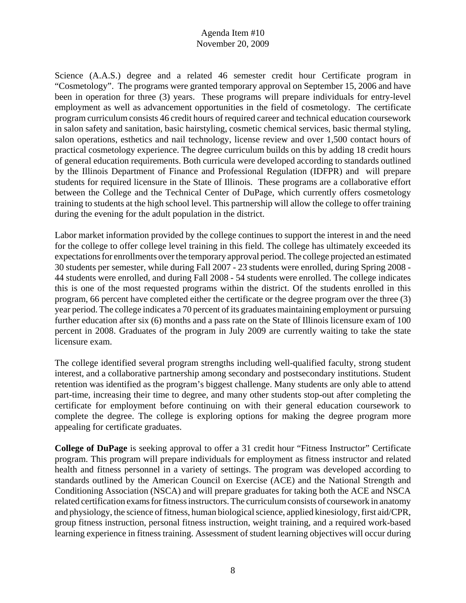Science (A.A.S.) degree and a related 46 semester credit hour Certificate program in "Cosmetology". The programs were granted temporary approval on September 15, 2006 and have been in operation for three (3) years. These programs will prepare individuals for entry-level employment as well as advancement opportunities in the field of cosmetology. The certificate program curriculum consists 46 credit hours of required career and technical education coursework in salon safety and sanitation, basic hairstyling, cosmetic chemical services, basic thermal styling, salon operations, esthetics and nail technology, license review and over 1,500 contact hours of practical cosmetology experience. The degree curriculum builds on this by adding 18 credit hours of general education requirements. Both curricula were developed according to standards outlined by the Illinois Department of Finance and Professional Regulation (IDFPR) and will prepare students for required licensure in the State of Illinois. These programs are a collaborative effort between the College and the Technical Center of DuPage, which currently offers cosmetology training to students at the high school level. This partnership will allow the college to offer training during the evening for the adult population in the district.

Labor market information provided by the college continues to support the interest in and the need for the college to offer college level training in this field. The college has ultimately exceeded its expectations for enrollments over the temporary approval period. The college projected an estimated 30 students per semester, while during Fall 2007 - 23 students were enrolled, during Spring 2008 - 44 students were enrolled, and during Fall 2008 - 54 students were enrolled. The college indicates this is one of the most requested programs within the district. Of the students enrolled in this program, 66 percent have completed either the certificate or the degree program over the three (3) year period. The college indicates a 70 percent of its graduates maintaining employment or pursuing further education after six (6) months and a pass rate on the State of Illinois licensure exam of 100 percent in 2008. Graduates of the program in July 2009 are currently waiting to take the state licensure exam.

The college identified several program strengths including well-qualified faculty, strong student interest, and a collaborative partnership among secondary and postsecondary institutions. Student retention was identified as the program's biggest challenge. Many students are only able to attend part-time, increasing their time to degree, and many other students stop-out after completing the certificate for employment before continuing on with their general education coursework to complete the degree. The college is exploring options for making the degree program more appealing for certificate graduates.

**College of DuPage** is seeking approval to offer a 31 credit hour "Fitness Instructor" Certificate program. This program will prepare individuals for employment as fitness instructor and related health and fitness personnel in a variety of settings. The program was developed according to standards outlined by the American Council on Exercise (ACE) and the National Strength and Conditioning Association (NSCA) and will prepare graduates for taking both the ACE and NSCA related certification exams for fitness instructors. The curriculum consists of coursework in anatomy and physiology, the science of fitness, human biological science, applied kinesiology, first aid/CPR, group fitness instruction, personal fitness instruction, weight training, and a required work-based learning experience in fitness training. Assessment of student learning objectives will occur during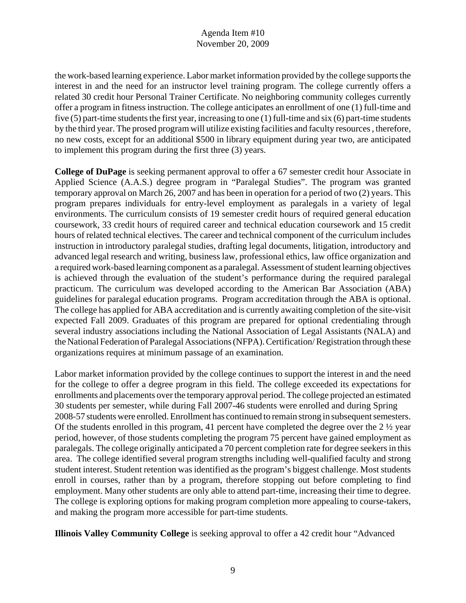the work-based learning experience. Labor market information provided by the college supports the interest in and the need for an instructor level training program. The college currently offers a related 30 credit hour Personal Trainer Certificate. No neighboring community colleges currently offer a program in fitness instruction. The college anticipates an enrollment of one (1) full-time and five (5) part-time students the first year, increasing to one (1) full-time and six (6) part-time students by the third year. The prosed program will utilize existing facilities and faculty resources , therefore, no new costs, except for an additional \$500 in library equipment during year two, are anticipated to implement this program during the first three (3) years.

**College of DuPage** is seeking permanent approval to offer a 67 semester credit hour Associate in Applied Science (A.A.S.) degree program in "Paralegal Studies". The program was granted temporary approval on March 26, 2007 and has been in operation for a period of two (2) years. This program prepares individuals for entry-level employment as paralegals in a variety of legal environments. The curriculum consists of 19 semester credit hours of required general education coursework, 33 credit hours of required career and technical education coursework and 15 credit hours of related technical electives. The career and technical component of the curriculum includes instruction in introductory paralegal studies, drafting legal documents, litigation, introductory and advanced legal research and writing, business law, professional ethics, law office organization and a required work-based learning component as a paralegal. Assessment of student learning objectives is achieved through the evaluation of the student's performance during the required paralegal practicum. The curriculum was developed according to the American Bar Association (ABA) guidelines for paralegal education programs. Program accreditation through the ABA is optional. The college has applied for ABA accreditation and is currently awaiting completion of the site-visit expected Fall 2009. Graduates of this program are prepared for optional credentialing through several industry associations including the National Association of Legal Assistants (NALA) and the National Federation of Paralegal Associations (NFPA). Certification/ Registration through these organizations requires at minimum passage of an examination.

Labor market information provided by the college continues to support the interest in and the need for the college to offer a degree program in this field. The college exceeded its expectations for enrollments and placements over the temporary approval period. The college projected an estimated 30 students per semester, while during Fall 2007-46 students were enrolled and during Spring 2008-57 students were enrolled. Enrollment has continued to remain strong in subsequent semesters. Of the students enrolled in this program, 41 percent have completed the degree over the  $2\frac{1}{2}$  year period, however, of those students completing the program 75 percent have gained employment as paralegals. The college originally anticipated a 70 percent completion rate for degree seekers in this area. The college identified several program strengths including well-qualified faculty and strong student interest. Student retention was identified as the program's biggest challenge. Most students enroll in courses, rather than by a program, therefore stopping out before completing to find employment. Many other students are only able to attend part-time, increasing their time to degree. The college is exploring options for making program completion more appealing to course-takers, and making the program more accessible for part-time students.

**Illinois Valley Community College** is seeking approval to offer a 42 credit hour "Advanced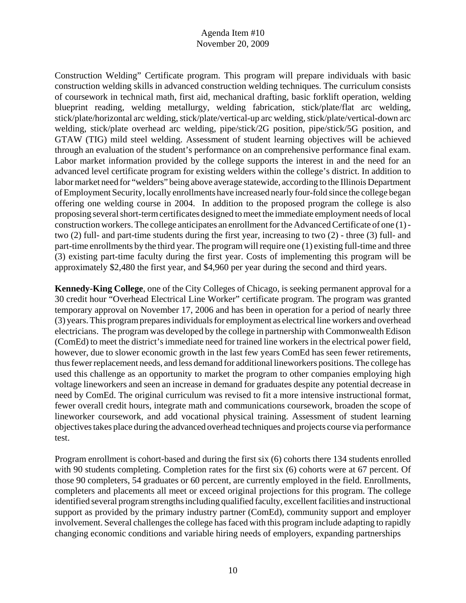Construction Welding" Certificate program. This program will prepare individuals with basic construction welding skills in advanced construction welding techniques. The curriculum consists of coursework in technical math, first aid, mechanical drafting, basic forklift operation, welding blueprint reading, welding metallurgy, welding fabrication, stick/plate/flat arc welding, stick/plate/horizontal arc welding, stick/plate/vertical-up arc welding, stick/plate/vertical-down arc welding, stick/plate overhead arc welding, pipe/stick/2G position, pipe/stick/5G position, and GTAW (TIG) mild steel welding. Assessment of student learning objectives will be achieved through an evaluation of the student's performance on an comprehensive performance final exam. Labor market information provided by the college supports the interest in and the need for an advanced level certificate program for existing welders within the college's district. In addition to labor market need for "welders" being above average statewide, according to the Illinois Department of Employment Security, locally enrollments have increased nearly four-fold since the college began offering one welding course in 2004. In addition to the proposed program the college is also proposing several short-term certificates designed to meet the immediate employment needs of local construction workers. The college anticipates an enrollment for the Advanced Certificate of one (1) two (2) full- and part-time students during the first year, increasing to two (2) - three (3) full- and part-time enrollments by the third year. The program will require one (1) existing full-time and three (3) existing part-time faculty during the first year. Costs of implementing this program will be approximately \$2,480 the first year, and \$4,960 per year during the second and third years.

**Kennedy-King College**, one of the City Colleges of Chicago, is seeking permanent approval for a 30 credit hour "Overhead Electrical Line Worker" certificate program. The program was granted temporary approval on November 17, 2006 and has been in operation for a period of nearly three (3) years. This program prepares individuals for employment as electrical line workers and overhead electricians. The program was developed by the college in partnership with Commonwealth Edison (ComEd) to meet the district's immediate need for trained line workers in the electrical power field, however, due to slower economic growth in the last few years ComEd has seen fewer retirements, thus fewer replacement needs, and less demand for additional lineworkers positions. The college has used this challenge as an opportunity to market the program to other companies employing high voltage lineworkers and seen an increase in demand for graduates despite any potential decrease in need by ComEd. The original curriculum was revised to fit a more intensive instructional format, fewer overall credit hours, integrate math and communications coursework, broaden the scope of lineworker coursework, and add vocational physical training. Assessment of student learning objectives takes place during the advanced overhead techniques and projects course via performance test.

Program enrollment is cohort-based and during the first six (6) cohorts there 134 students enrolled with 90 students completing. Completion rates for the first six (6) cohorts were at 67 percent. Of those 90 completers, 54 graduates or 60 percent, are currently employed in the field. Enrollments, completers and placements all meet or exceed original projections for this program. The college identified several program strengths including qualified faculty, excellent facilities and instructional support as provided by the primary industry partner (ComEd), community support and employer involvement. Several challenges the college has faced with this program include adapting to rapidly changing economic conditions and variable hiring needs of employers, expanding partnerships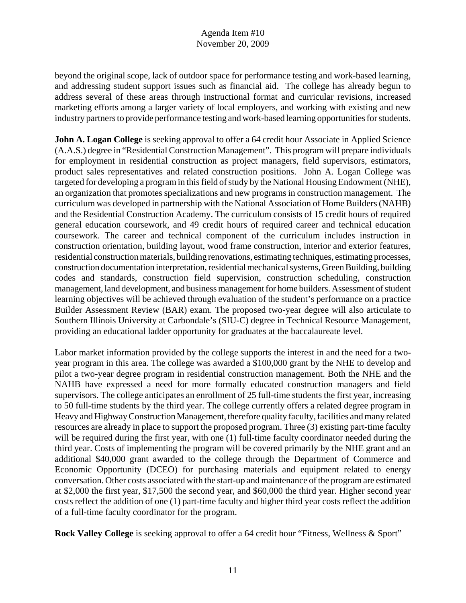beyond the original scope, lack of outdoor space for performance testing and work-based learning, and addressing student support issues such as financial aid. The college has already begun to address several of these areas through instructional format and curricular revisions, increased marketing efforts among a larger variety of local employers, and working with existing and new industry partners to provide performance testing and work-based learning opportunities for students.

**John A. Logan College** is seeking approval to offer a 64 credit hour Associate in Applied Science (A.A.S.) degree in "Residential Construction Management". This program will prepare individuals for employment in residential construction as project managers, field supervisors, estimators, product sales representatives and related construction positions. John A. Logan College was targeted for developing a program in this field of study by the National Housing Endowment (NHE), an organization that promotes specializations and new programs in construction management. The curriculum was developed in partnership with the National Association of Home Builders (NAHB) and the Residential Construction Academy. The curriculum consists of 15 credit hours of required general education coursework, and 49 credit hours of required career and technical education coursework. The career and technical component of the curriculum includes instruction in construction orientation, building layout, wood frame construction, interior and exterior features, residential construction materials, building renovations, estimating techniques, estimating processes, construction documentation interpretation, residential mechanical systems, Green Building, building codes and standards, construction field supervision, construction scheduling, construction management, land development, and business management for home builders. Assessment of student learning objectives will be achieved through evaluation of the student's performance on a practice Builder Assessment Review (BAR) exam. The proposed two-year degree will also articulate to Southern Illinois University at Carbondale's (SIU-C) degree in Technical Resource Management, providing an educational ladder opportunity for graduates at the baccalaureate level.

Labor market information provided by the college supports the interest in and the need for a twoyear program in this area. The college was awarded a \$100,000 grant by the NHE to develop and pilot a two-year degree program in residential construction management. Both the NHE and the NAHB have expressed a need for more formally educated construction managers and field supervisors. The college anticipates an enrollment of 25 full-time students the first year, increasing to 50 full-time students by the third year. The college currently offers a related degree program in Heavy and Highway Construction Management, therefore quality faculty, facilities and many related resources are already in place to support the proposed program. Three (3) existing part-time faculty will be required during the first year, with one (1) full-time faculty coordinator needed during the third year. Costs of implementing the program will be covered primarily by the NHE grant and an additional \$40,000 grant awarded to the college through the Department of Commerce and Economic Opportunity (DCEO) for purchasing materials and equipment related to energy conversation. Other costs associated with the start-up and maintenance of the program are estimated at \$2,000 the first year, \$17,500 the second year, and \$60,000 the third year. Higher second year costs reflect the addition of one (1) part-time faculty and higher third year costs reflect the addition of a full-time faculty coordinator for the program.

**Rock Valley College** is seeking approval to offer a 64 credit hour "Fitness, Wellness & Sport"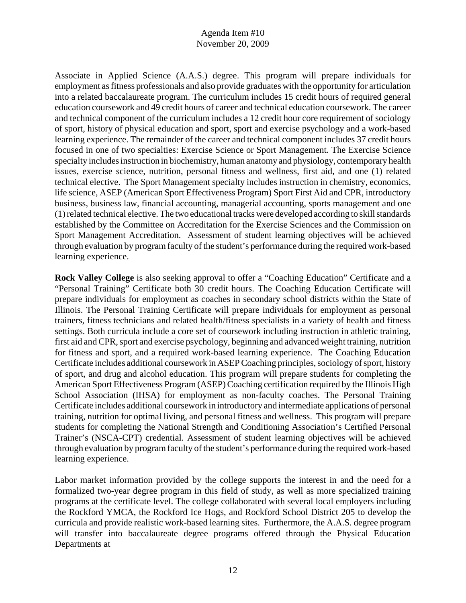Associate in Applied Science (A.A.S.) degree. This program will prepare individuals for employment as fitness professionals and also provide graduates with the opportunity for articulation into a related baccalaureate program. The curriculum includes 15 credit hours of required general education coursework and 49 credit hours of career and technical education coursework. The career and technical component of the curriculum includes a 12 credit hour core requirement of sociology of sport, history of physical education and sport, sport and exercise psychology and a work-based learning experience. The remainder of the career and technical component includes 37 credit hours focused in one of two specialties: Exercise Science or Sport Management. The Exercise Science specialty includes instruction in biochemistry, human anatomy and physiology, contemporary health issues, exercise science, nutrition, personal fitness and wellness, first aid, and one (1) related technical elective. The Sport Management specialty includes instruction in chemistry, economics, life science, ASEP (American Sport Effectiveness Program) Sport First Aid and CPR, introductory business, business law, financial accounting, managerial accounting, sports management and one (1) related technical elective. The two educational tracks were developed according to skill standards established by the Committee on Accreditation for the Exercise Sciences and the Commission on Sport Management Accreditation. Assessment of student learning objectives will be achieved through evaluation by program faculty of the student's performance during the required work-based learning experience.

**Rock Valley College** is also seeking approval to offer a "Coaching Education" Certificate and a "Personal Training" Certificate both 30 credit hours. The Coaching Education Certificate will prepare individuals for employment as coaches in secondary school districts within the State of Illinois. The Personal Training Certificate will prepare individuals for employment as personal trainers, fitness technicians and related health/fitness specialists in a variety of health and fitness settings. Both curricula include a core set of coursework including instruction in athletic training, first aid and CPR, sport and exercise psychology, beginning and advanced weight training, nutrition for fitness and sport, and a required work-based learning experience. The Coaching Education Certificate includes additional coursework in ASEP Coaching principles, sociology of sport, history of sport, and drug and alcohol education. This program will prepare students for completing the American Sport Effectiveness Program (ASEP) Coaching certification required by the Illinois High School Association (IHSA) for employment as non-faculty coaches. The Personal Training Certificate includes additional coursework in introductory and intermediate applications of personal training, nutrition for optimal living, and personal fitness and wellness. This program will prepare students for completing the National Strength and Conditioning Association's Certified Personal Trainer's (NSCA-CPT) credential. Assessment of student learning objectives will be achieved through evaluation by program faculty of the student's performance during the required work-based learning experience.

Labor market information provided by the college supports the interest in and the need for a formalized two-year degree program in this field of study, as well as more specialized training programs at the certificate level. The college collaborated with several local employers including the Rockford YMCA, the Rockford Ice Hogs, and Rockford School District 205 to develop the curricula and provide realistic work-based learning sites. Furthermore, the A.A.S. degree program will transfer into baccalaureate degree programs offered through the Physical Education Departments at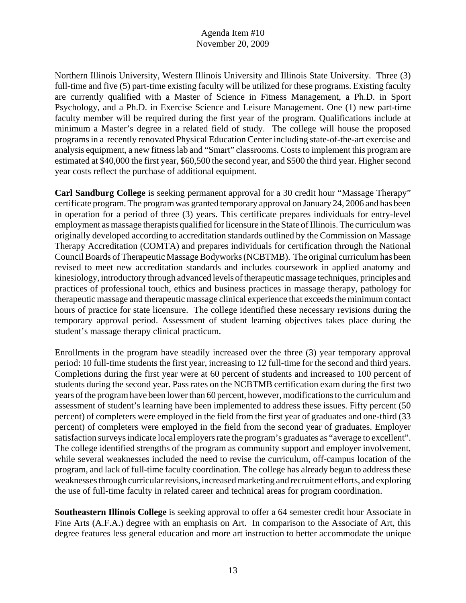Northern Illinois University, Western Illinois University and Illinois State University. Three (3) full-time and five (5) part-time existing faculty will be utilized for these programs. Existing faculty are currently qualified with a Master of Science in Fitness Management, a Ph.D. in Sport Psychology, and a Ph.D. in Exercise Science and Leisure Management. One (1) new part-time faculty member will be required during the first year of the program. Qualifications include at minimum a Master's degree in a related field of study. The college will house the proposed programs in a recently renovated Physical Education Center including state-of-the-art exercise and analysis equipment, a new fitness lab and "Smart" classrooms. Costs to implement this program are estimated at \$40,000 the first year, \$60,500 the second year, and \$500 the third year. Higher second year costs reflect the purchase of additional equipment.

**Carl Sandburg College** is seeking permanent approval for a 30 credit hour "Massage Therapy" certificate program. The program was granted temporary approval on January 24, 2006 and has been in operation for a period of three (3) years. This certificate prepares individuals for entry-level employment as massage therapists qualified for licensure in the State of Illinois. The curriculum was originally developed according to accreditation standards outlined by the Commission on Massage Therapy Accreditation (COMTA) and prepares individuals for certification through the National Council Boards of Therapeutic Massage Bodyworks (NCBTMB). The original curriculum has been revised to meet new accreditation standards and includes coursework in applied anatomy and kinesiology, introductory through advanced levels of therapeutic massage techniques, principles and practices of professional touch, ethics and business practices in massage therapy, pathology for therapeutic massage and therapeutic massage clinical experience that exceeds the minimum contact hours of practice for state licensure. The college identified these necessary revisions during the temporary approval period. Assessment of student learning objectives takes place during the student's massage therapy clinical practicum.

Enrollments in the program have steadily increased over the three (3) year temporary approval period: 10 full-time students the first year, increasing to 12 full-time for the second and third years. Completions during the first year were at 60 percent of students and increased to 100 percent of students during the second year. Pass rates on the NCBTMB certification exam during the first two years of the program have been lower than 60 percent, however, modifications to the curriculum and assessment of student's learning have been implemented to address these issues. Fifty percent (50 percent) of completers were employed in the field from the first year of graduates and one-third (33 percent) of completers were employed in the field from the second year of graduates. Employer satisfaction surveys indicate local employers rate the program's graduates as "average to excellent". The college identified strengths of the program as community support and employer involvement, while several weaknesses included the need to revise the curriculum, off-campus location of the program, and lack of full-time faculty coordination. The college has already begun to address these weaknesses through curricular revisions, increased marketing and recruitment efforts, and exploring the use of full-time faculty in related career and technical areas for program coordination.

**Southeastern Illinois College** is seeking approval to offer a 64 semester credit hour Associate in Fine Arts (A.F.A.) degree with an emphasis on Art. In comparison to the Associate of Art, this degree features less general education and more art instruction to better accommodate the unique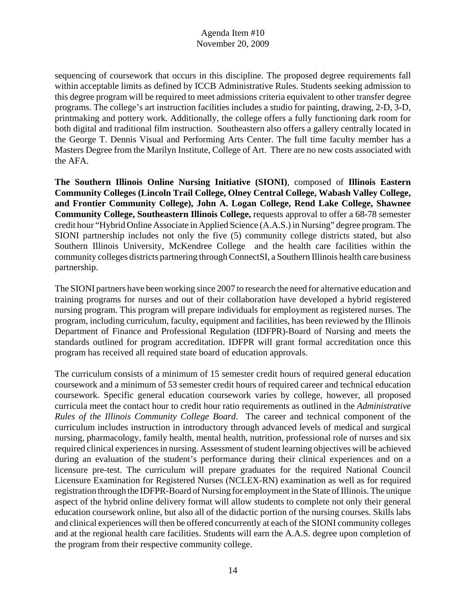sequencing of coursework that occurs in this discipline. The proposed degree requirements fall within acceptable limits as defined by ICCB Administrative Rules. Students seeking admission to this degree program will be required to meet admissions criteria equivalent to other transfer degree programs. The college's art instruction facilities includes a studio for painting, drawing, 2-D, 3-D, printmaking and pottery work. Additionally, the college offers a fully functioning dark room for both digital and traditional film instruction. Southeastern also offers a gallery centrally located in the George T. Dennis Visual and Performing Arts Center. The full time faculty member has a Masters Degree from the Marilyn Institute, College of Art. There are no new costs associated with the AFA.

**The Southern Illinois Online Nursing Initiative (SIONI)**, composed of **Illinois Eastern Community Colleges (Lincoln Trail College, Olney Central College, Wabash Valley College, and Frontier Community College), John A. Logan College, Rend Lake College, Shawnee Community College, Southeastern Illinois College,** requests approval to offer a 68-78 semester credit hour "Hybrid Online Associate in Applied Science (A.A.S.) in Nursing" degree program. The SIONI partnership includes not only the five (5) community college districts stated, but also Southern Illinois University, McKendree College and the health care facilities within the community colleges districts partnering through ConnectSI, a Southern Illinois health care business partnership.

The SIONI partners have been working since 2007 to research the need for alternative education and training programs for nurses and out of their collaboration have developed a hybrid registered nursing program. This program will prepare individuals for employment as registered nurses. The program, including curriculum, faculty, equipment and facilities, has been reviewed by the Illinois Department of Finance and Professional Regulation (IDFPR)-Board of Nursing and meets the standards outlined for program accreditation. IDFPR will grant formal accreditation once this program has received all required state board of education approvals.

The curriculum consists of a minimum of 15 semester credit hours of required general education coursework and a minimum of 53 semester credit hours of required career and technical education coursework. Specific general education coursework varies by college, however, all proposed curricula meet the contact hour to credit hour ratio requirements as outlined in the *Administrative Rules of the Illinois Community College Board*. The career and technical component of the curriculum includes instruction in introductory through advanced levels of medical and surgical nursing, pharmacology, family health, mental health, nutrition, professional role of nurses and six required clinical experiences in nursing. Assessment of student learning objectives will be achieved during an evaluation of the student's performance during their clinical experiences and on a licensure pre-test. The curriculum will prepare graduates for the required National Council Licensure Examination for Registered Nurses (NCLEX-RN) examination as well as for required registration through the IDFPR-Board of Nursing for employment in the State of Illinois. The unique aspect of the hybrid online delivery format will allow students to complete not only their general education coursework online, but also all of the didactic portion of the nursing courses. Skills labs and clinical experiences will then be offered concurrently at each of the SIONI community colleges and at the regional health care facilities. Students will earn the A.A.S. degree upon completion of the program from their respective community college.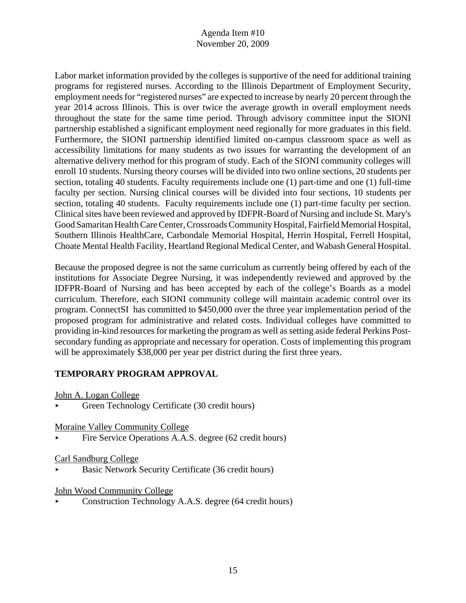Labor market information provided by the colleges is supportive of the need for additional training programs for registered nurses. According to the Illinois Department of Employment Security, employment needs for "registered nurses" are expected to increase by nearly 20 percent through the year 2014 across Illinois. This is over twice the average growth in overall employment needs throughout the state for the same time period. Through advisory committee input the SIONI partnership established a significant employment need regionally for more graduates in this field. Furthermore, the SIONI partnership identified limited on-campus classroom space as well as accessibility limitations for many students as two issues for warranting the development of an alternative delivery method for this program of study. Each of the SIONI community colleges will enroll 10 students. Nursing theory courses will be divided into two online sections, 20 students per section, totaling 40 students. Faculty requirements include one (1) part-time and one (1) full-time faculty per section. Nursing clinical courses will be divided into four sections, 10 students per section, totaling 40 students. Faculty requirements include one (1) part-time faculty per section. Clinical sites have been reviewed and approved by IDFPR-Board of Nursing and include St. Mary's Good Samaritan Health Care Center, Crossroads Community Hospital, Fairfield Memorial Hospital, Southern Illinois HealthCare, Carbondale Memorial Hospital, Herrin Hospital, Ferrell Hospital, Choate Mental Health Facility, Heartland Regional Medical Center, and Wabash General Hospital.

Because the proposed degree is not the same curriculum as currently being offered by each of the institutions for Associate Degree Nursing, it was independently reviewed and approved by the IDFPR-Board of Nursing and has been accepted by each of the college's Boards as a model curriculum. Therefore, each SIONI community college will maintain academic control over its program. ConnectSI has committed to \$450,000 over the three year implementation period of the proposed program for administrative and related costs. Individual colleges have committed to providing in-kind resources for marketing the program as well as setting aside federal Perkins Postsecondary funding as appropriate and necessary for operation. Costs of implementing this program will be approximately \$38,000 per year per district during the first three years.

# **TEMPORARY PROGRAM APPROVAL**

John A. Logan College

< Green Technology Certificate (30 credit hours)

Moraine Valley Community College

Fire Service Operations A.A.S. degree (62 credit hours)

## Carl Sandburg College

< Basic Network Security Certificate (36 credit hours)

## John Wood Community College

< Construction Technology A.A.S. degree (64 credit hours)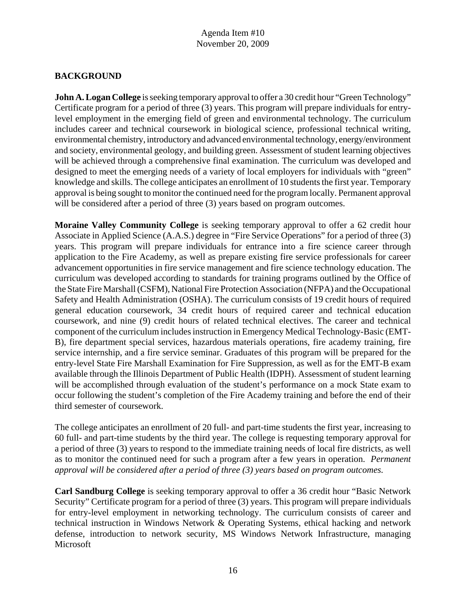# **BACKGROUND**

**John A. Logan College** is seeking temporary approval to offer a 30 credit hour "Green Technology" Certificate program for a period of three (3) years. This program will prepare individuals for entrylevel employment in the emerging field of green and environmental technology. The curriculum includes career and technical coursework in biological science, professional technical writing, environmental chemistry, introductory and advanced environmental technology, energy/environment and society, environmental geology, and building green. Assessment of student learning objectives will be achieved through a comprehensive final examination. The curriculum was developed and designed to meet the emerging needs of a variety of local employers for individuals with "green" knowledge and skills. The college anticipates an enrollment of 10 students the first year. Temporary approval is being sought to monitor the continued need for the program locally. Permanent approval will be considered after a period of three (3) years based on program outcomes.

**Moraine Valley Community College** is seeking temporary approval to offer a 62 credit hour Associate in Applied Science (A.A.S.) degree in "Fire Service Operations" for a period of three (3) years. This program will prepare individuals for entrance into a fire science career through application to the Fire Academy, as well as prepare existing fire service professionals for career advancement opportunities in fire service management and fire science technology education. The curriculum was developed according to standards for training programs outlined by the Office of the State Fire Marshall (CSFM), National Fire Protection Association (NFPA) and the Occupational Safety and Health Administration (OSHA). The curriculum consists of 19 credit hours of required general education coursework, 34 credit hours of required career and technical education coursework, and nine (9) credit hours of related technical electives. The career and technical component of the curriculum includes instruction in Emergency Medical Technology-Basic (EMT-B), fire department special services, hazardous materials operations, fire academy training, fire service internship, and a fire service seminar. Graduates of this program will be prepared for the entry-level State Fire Marshall Examination for Fire Suppression, as well as for the EMT-B exam available through the Illinois Department of Public Health (IDPH). Assessment of student learning will be accomplished through evaluation of the student's performance on a mock State exam to occur following the student's completion of the Fire Academy training and before the end of their third semester of coursework.

The college anticipates an enrollment of 20 full- and part-time students the first year, increasing to 60 full- and part-time students by the third year. The college is requesting temporary approval for a period of three (3) years to respond to the immediate training needs of local fire districts, as well as to monitor the continued need for such a program after a few years in operation. *Permanent approval will be considered after a period of three (3) years based on program outcomes.* 

**Carl Sandburg College** is seeking temporary approval to offer a 36 credit hour "Basic Network Security" Certificate program for a period of three (3) years. This program will prepare individuals for entry-level employment in networking technology. The curriculum consists of career and technical instruction in Windows Network & Operating Systems, ethical hacking and network defense, introduction to network security, MS Windows Network Infrastructure, managing Microsoft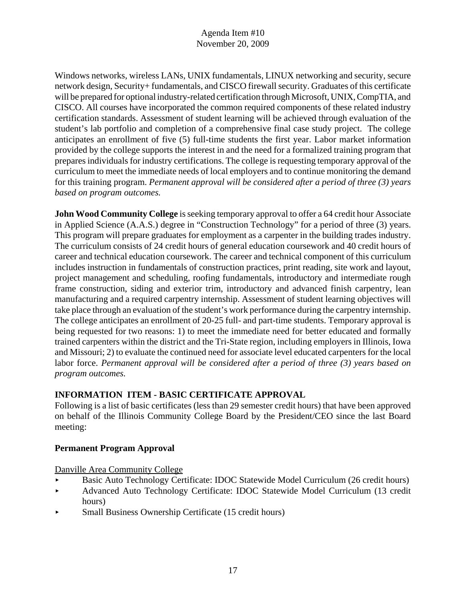Windows networks, wireless LANs, UNIX fundamentals, LINUX networking and security, secure network design, Security+ fundamentals, and CISCO firewall security. Graduates of this certificate will be prepared for optional industry-related certification through Microsoft, UNIX, CompTIA, and CISCO. All courses have incorporated the common required components of these related industry certification standards. Assessment of student learning will be achieved through evaluation of the student's lab portfolio and completion of a comprehensive final case study project. The college anticipates an enrollment of five (5) full-time students the first year. Labor market information provided by the college supports the interest in and the need for a formalized training program that prepares individuals for industry certifications. The college is requesting temporary approval of the curriculum to meet the immediate needs of local employers and to continue monitoring the demand for this training program. *Permanent approval will be considered after a period of three (3) years based on program outcomes.* 

**John Wood Community College** is seeking temporary approval to offer a 64 credit hour Associate in Applied Science (A.A.S.) degree in "Construction Technology" for a period of three (3) years. This program will prepare graduates for employment as a carpenter in the building trades industry. The curriculum consists of 24 credit hours of general education coursework and 40 credit hours of career and technical education coursework. The career and technical component of this curriculum includes instruction in fundamentals of construction practices, print reading, site work and layout, project management and scheduling, roofing fundamentals, introductory and intermediate rough frame construction, siding and exterior trim, introductory and advanced finish carpentry, lean manufacturing and a required carpentry internship. Assessment of student learning objectives will take place through an evaluation of the student's work performance during the carpentry internship. The college anticipates an enrollment of 20-25 full- and part-time students. Temporary approval is being requested for two reasons: 1) to meet the immediate need for better educated and formally trained carpenters within the district and the Tri-State region, including employers in Illinois, Iowa and Missouri; 2) to evaluate the continued need for associate level educated carpenters for the local labor force. *Permanent approval will be considered after a period of three (3) years based on program outcomes.* 

# **INFORMATION ITEM - BASIC CERTIFICATE APPROVAL**

Following is a list of basic certificates (less than 29 semester credit hours) that have been approved on behalf of the Illinois Community College Board by the President/CEO since the last Board meeting:

# **Permanent Program Approval**

Danville Area Community College

- **Basic Auto Technology Certificate: IDOC Statewide Model Curriculum (26 credit hours)**
- Advanced Auto Technology Certificate: IDOC Statewide Model Curriculum (13 credit hours)
- < Small Business Ownership Certificate (15 credit hours)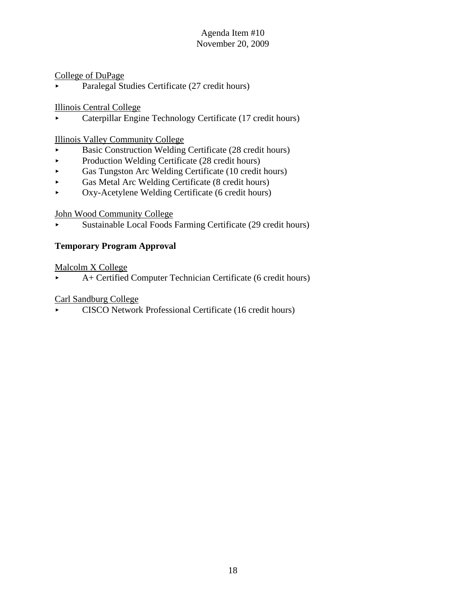#### College of DuPage

• Paralegal Studies Certificate (27 credit hours)

#### Illinois Central College

< Caterpillar Engine Technology Certificate (17 credit hours)

#### Illinois Valley Community College

- < Basic Construction Welding Certificate (28 credit hours)
- Production Welding Certificate (28 credit hours)
- < Gas Tungston Arc Welding Certificate (10 credit hours)
- < Gas Metal Arc Welding Certificate (8 credit hours)
- < Oxy-Acetylene Welding Certificate (6 credit hours)

#### John Wood Community College

< Sustainable Local Foods Farming Certificate (29 credit hours)

## **Temporary Program Approval**

#### Malcolm X College

< A+ Certified Computer Technician Certificate (6 credit hours)

#### Carl Sandburg College

< CISCO Network Professional Certificate (16 credit hours)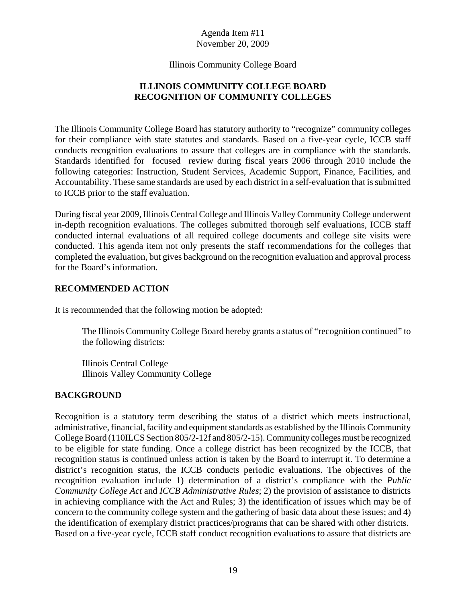Illinois Community College Board

# **ILLINOIS COMMUNITY COLLEGE BOARD RECOGNITION OF COMMUNITY COLLEGES**

The Illinois Community College Board has statutory authority to "recognize" community colleges for their compliance with state statutes and standards. Based on a five-year cycle, ICCB staff conducts recognition evaluations to assure that colleges are in compliance with the standards. Standards identified for focused review during fiscal years 2006 through 2010 include the following categories: Instruction, Student Services, Academic Support, Finance, Facilities, and Accountability. These same standards are used by each district in a self-evaluation that is submitted to ICCB prior to the staff evaluation.

During fiscal year 2009, Illinois Central College and Illinois Valley Community College underwent in-depth recognition evaluations. The colleges submitted thorough self evaluations, ICCB staff conducted internal evaluations of all required college documents and college site visits were conducted. This agenda item not only presents the staff recommendations for the colleges that completed the evaluation, but gives background on the recognition evaluation and approval process for the Board's information.

## **RECOMMENDED ACTION**

It is recommended that the following motion be adopted:

The Illinois Community College Board hereby grants a status of "recognition continued" to the following districts:

Illinois Central College Illinois Valley Community College

## **BACKGROUND**

Recognition is a statutory term describing the status of a district which meets instructional, administrative, financial, facility and equipment standards as established by the Illinois Community College Board (110ILCS Section 805/2-12f and 805/2-15). Community colleges must be recognized to be eligible for state funding. Once a college district has been recognized by the ICCB, that recognition status is continued unless action is taken by the Board to interrupt it. To determine a district's recognition status, the ICCB conducts periodic evaluations. The objectives of the recognition evaluation include 1) determination of a district's compliance with the *Public Community College Act* and *ICCB Administrative Rules*; 2) the provision of assistance to districts in achieving compliance with the Act and Rules; 3) the identification of issues which may be of concern to the community college system and the gathering of basic data about these issues; and 4) the identification of exemplary district practices/programs that can be shared with other districts. Based on a five-year cycle, ICCB staff conduct recognition evaluations to assure that districts are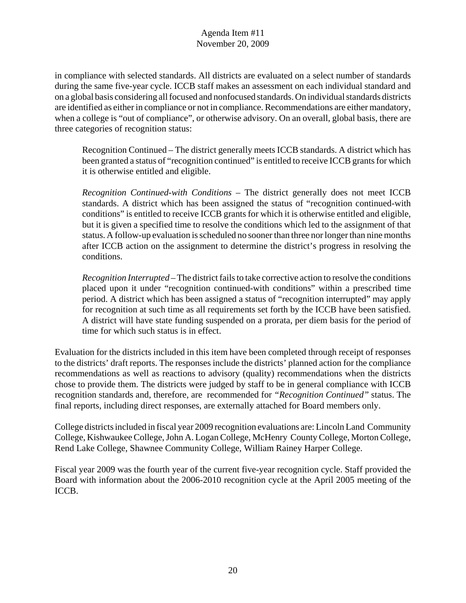in compliance with selected standards. All districts are evaluated on a select number of standards during the same five-year cycle. ICCB staff makes an assessment on each individual standard and on a global basis considering all focused and nonfocused standards. On individual standards districts are identified as either in compliance or not in compliance. Recommendations are either mandatory, when a college is "out of compliance", or otherwise advisory. On an overall, global basis, there are three categories of recognition status:

Recognition Continued – The district generally meets ICCB standards. A district which has been granted a status of "recognition continued" is entitled to receive ICCB grants for which it is otherwise entitled and eligible.

*Recognition Continued-with Conditions* – The district generally does not meet ICCB standards. A district which has been assigned the status of "recognition continued-with conditions" is entitled to receive ICCB grants for which it is otherwise entitled and eligible, but it is given a specified time to resolve the conditions which led to the assignment of that status. A follow-up evaluation is scheduled no sooner than three nor longer than nine months after ICCB action on the assignment to determine the district's progress in resolving the conditions.

*Recognition Interrupted* – The district fails to take corrective action to resolve the conditions placed upon it under "recognition continued-with conditions" within a prescribed time period. A district which has been assigned a status of "recognition interrupted" may apply for recognition at such time as all requirements set forth by the ICCB have been satisfied. A district will have state funding suspended on a prorata, per diem basis for the period of time for which such status is in effect.

Evaluation for the districts included in this item have been completed through receipt of responses to the districts' draft reports. The responses include the districts' planned action for the compliance recommendations as well as reactions to advisory (quality) recommendations when the districts chose to provide them. The districts were judged by staff to be in general compliance with ICCB recognition standards and, therefore, are recommended for *"Recognition Continued"* status. The final reports, including direct responses, are externally attached for Board members only.

College districts included in fiscal year 2009 recognition evaluations are: Lincoln Land Community College, Kishwaukee College, John A. Logan College, McHenry County College, Morton College, Rend Lake College, Shawnee Community College, William Rainey Harper College.

Fiscal year 2009 was the fourth year of the current five-year recognition cycle. Staff provided the Board with information about the 2006-2010 recognition cycle at the April 2005 meeting of the ICCB.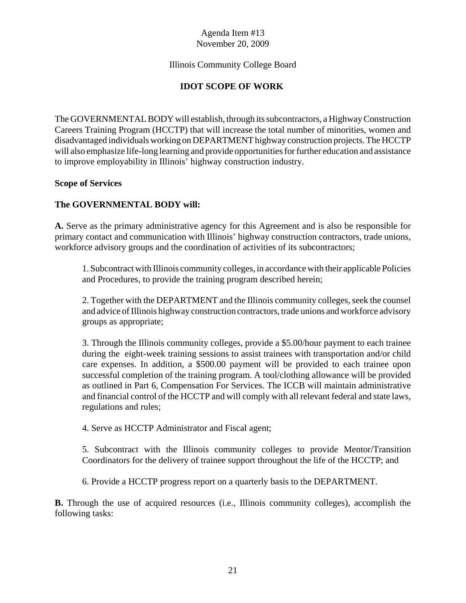## Illinois Community College Board

# **IDOT SCOPE OF WORK**

The GOVERNMENTAL BODY will establish, through its subcontractors, a Highway Construction Careers Training Program (HCCTP) that will increase the total number of minorities, women and disadvantaged individuals working on DEPARTMENT highway construction projects. The HCCTP will also emphasize life-long learning and provide opportunities for further education and assistance to improve employability in Illinois' highway construction industry.

#### **Scope of Services**

#### **The GOVERNMENTAL BODY will:**

**A.** Serve as the primary administrative agency for this Agreement and is also be responsible for primary contact and communication with Illinois' highway construction contractors, trade unions, workforce advisory groups and the coordination of activities of its subcontractors;

1. Subcontract with Illinois community colleges, in accordance with their applicable Policies and Procedures, to provide the training program described herein;

2. Together with the DEPARTMENT and the Illinois community colleges, seek the counsel and advice of Illinois highway construction contractors, trade unions and workforce advisory groups as appropriate;

3. Through the Illinois community colleges, provide a \$5.00/hour payment to each trainee during the eight-week training sessions to assist trainees with transportation and/or child care expenses. In addition, a \$500.00 payment will be provided to each trainee upon successful completion of the training program. A tool/clothing allowance will be provided as outlined in Part 6, Compensation For Services. The ICCB will maintain administrative and financial control of the HCCTP and will comply with all relevant federal and state laws, regulations and rules;

4. Serve as HCCTP Administrator and Fiscal agent;

5. Subcontract with the Illinois community colleges to provide Mentor/Transition Coordinators for the delivery of trainee support throughout the life of the HCCTP; and

6. Provide a HCCTP progress report on a quarterly basis to the DEPARTMENT.

**B.** Through the use of acquired resources (i.e., Illinois community colleges), accomplish the following tasks: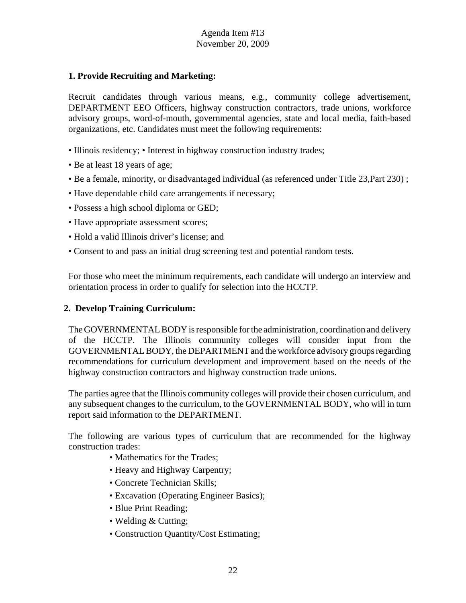#### **1. Provide Recruiting and Marketing:**

Recruit candidates through various means, e.g., community college advertisement, DEPARTMENT EEO Officers, highway construction contractors, trade unions, workforce advisory groups, word-of-mouth, governmental agencies, state and local media, faith-based organizations, etc. Candidates must meet the following requirements:

- Illinois residency; Interest in highway construction industry trades;
- Be at least 18 years of age;
- Be a female, minority, or disadvantaged individual (as referenced under Title 23,Part 230) ;
- Have dependable child care arrangements if necessary;
- Possess a high school diploma or GED;
- Have appropriate assessment scores;
- Hold a valid Illinois driver's license; and
- Consent to and pass an initial drug screening test and potential random tests.

For those who meet the minimum requirements, each candidate will undergo an interview and orientation process in order to qualify for selection into the HCCTP.

## **2. Develop Training Curriculum:**

The GOVERNMENTAL BODY is responsible for the administration, coordination and delivery of the HCCTP. The Illinois community colleges will consider input from the GOVERNMENTAL BODY, the DEPARTMENT and the workforce advisory groups regarding recommendations for curriculum development and improvement based on the needs of the highway construction contractors and highway construction trade unions.

The parties agree that the Illinois community colleges will provide their chosen curriculum, and any subsequent changes to the curriculum, to the GOVERNMENTAL BODY, who will in turn report said information to the DEPARTMENT.

The following are various types of curriculum that are recommended for the highway construction trades:

- Mathematics for the Trades:
- Heavy and Highway Carpentry;
- Concrete Technician Skills;
- Excavation (Operating Engineer Basics);
- Blue Print Reading;
- Welding & Cutting;
- Construction Quantity/Cost Estimating;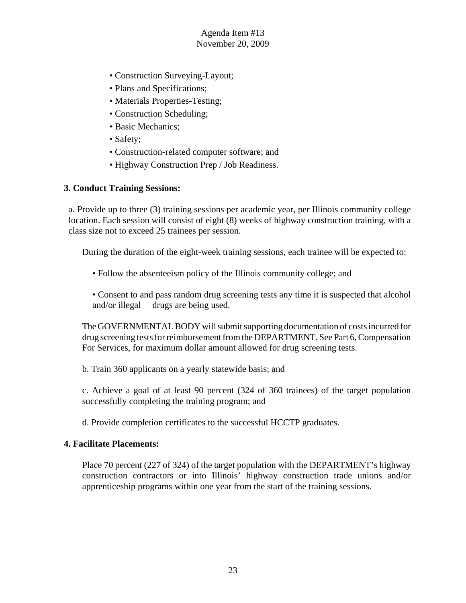- Construction Surveying-Layout;
- Plans and Specifications;
- Materials Properties-Testing;
- Construction Scheduling;
- Basic Mechanics;
- Safety;
- Construction-related computer software; and
- Highway Construction Prep / Job Readiness.

#### **3. Conduct Training Sessions:**

a. Provide up to three (3) training sessions per academic year, per Illinois community college location. Each session will consist of eight (8) weeks of highway construction training, with a class size not to exceed 25 trainees per session.

During the duration of the eight-week training sessions, each trainee will be expected to:

• Follow the absenteeism policy of the Illinois community college; and

• Consent to and pass random drug screening tests any time it is suspected that alcohol and/or illegal drugs are being used.

The GOVERNMENTAL BODY will submit supporting documentation of costs incurred for drug screening tests for reimbursement from the DEPARTMENT. See Part 6, Compensation For Services, for maximum dollar amount allowed for drug screening tests.

b. Train 360 applicants on a yearly statewide basis; and

c. Achieve a goal of at least 90 percent (324 of 360 trainees) of the target population successfully completing the training program; and

d. Provide completion certificates to the successful HCCTP graduates.

#### **4. Facilitate Placements:**

Place 70 percent (227 of 324) of the target population with the DEPARTMENT's highway construction contractors or into Illinois' highway construction trade unions and/or apprenticeship programs within one year from the start of the training sessions.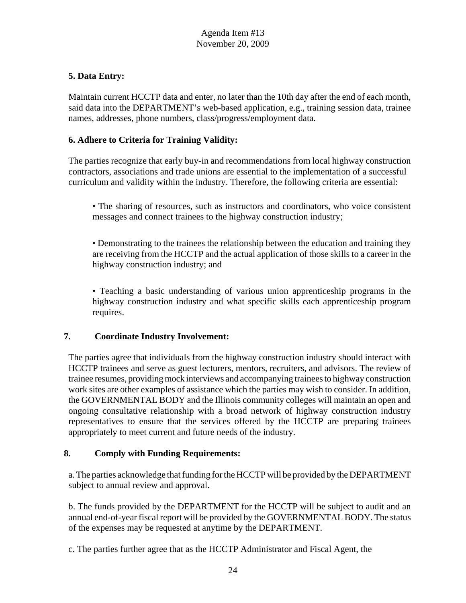# **5. Data Entry:**

Maintain current HCCTP data and enter, no later than the 10th day after the end of each month, said data into the DEPARTMENT's web-based application, e.g., training session data, trainee names, addresses, phone numbers, class/progress/employment data.

## **6. Adhere to Criteria for Training Validity:**

The parties recognize that early buy-in and recommendations from local highway construction contractors, associations and trade unions are essential to the implementation of a successful curriculum and validity within the industry. Therefore, the following criteria are essential:

- The sharing of resources, such as instructors and coordinators, who voice consistent messages and connect trainees to the highway construction industry;
- Demonstrating to the trainees the relationship between the education and training they are receiving from the HCCTP and the actual application of those skills to a career in the highway construction industry; and

• Teaching a basic understanding of various union apprenticeship programs in the highway construction industry and what specific skills each apprenticeship program requires.

## **7. Coordinate Industry Involvement:**

The parties agree that individuals from the highway construction industry should interact with HCCTP trainees and serve as guest lecturers, mentors, recruiters, and advisors. The review of trainee resumes, providing mock interviews and accompanying trainees to highway construction work sites are other examples of assistance which the parties may wish to consider. In addition, the GOVERNMENTAL BODY and the Illinois community colleges will maintain an open and ongoing consultative relationship with a broad network of highway construction industry representatives to ensure that the services offered by the HCCTP are preparing trainees appropriately to meet current and future needs of the industry.

#### **8. Comply with Funding Requirements:**

a. The parties acknowledge that funding for the HCCTP will be provided by the DEPARTMENT subject to annual review and approval.

b. The funds provided by the DEPARTMENT for the HCCTP will be subject to audit and an annual end-of-year fiscal report will be provided by the GOVERNMENTAL BODY. The status of the expenses may be requested at anytime by the DEPARTMENT.

c. The parties further agree that as the HCCTP Administrator and Fiscal Agent, the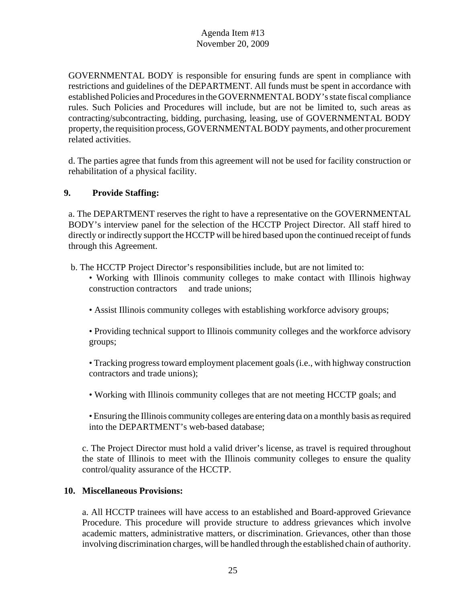GOVERNMENTAL BODY is responsible for ensuring funds are spent in compliance with restrictions and guidelines of the DEPARTMENT. All funds must be spent in accordance with established Policies and Procedures in the GOVERNMENTAL BODY's state fiscal compliance rules. Such Policies and Procedures will include, but are not be limited to, such areas as contracting/subcontracting, bidding, purchasing, leasing, use of GOVERNMENTAL BODY property, the requisition process, GOVERNMENTAL BODY payments, and other procurement related activities.

d. The parties agree that funds from this agreement will not be used for facility construction or rehabilitation of a physical facility.

# **9. Provide Staffing:**

a. The DEPARTMENT reserves the right to have a representative on the GOVERNMENTAL BODY's interview panel for the selection of the HCCTP Project Director. All staff hired to directly or indirectly support the HCCTP will be hired based upon the continued receipt of funds through this Agreement.

b. The HCCTP Project Director's responsibilities include, but are not limited to:

- Working with Illinois community colleges to make contact with Illinois highway construction contractors and trade unions;
- Assist Illinois community colleges with establishing workforce advisory groups;

• Providing technical support to Illinois community colleges and the workforce advisory groups;

• Tracking progress toward employment placement goals (i.e., with highway construction contractors and trade unions);

• Working with Illinois community colleges that are not meeting HCCTP goals; and

• Ensuring the Illinois community colleges are entering data on a monthly basis as required into the DEPARTMENT's web-based database;

c. The Project Director must hold a valid driver's license, as travel is required throughout the state of Illinois to meet with the Illinois community colleges to ensure the quality control/quality assurance of the HCCTP.

## **10. Miscellaneous Provisions:**

a. All HCCTP trainees will have access to an established and Board-approved Grievance Procedure. This procedure will provide structure to address grievances which involve academic matters, administrative matters, or discrimination. Grievances, other than those involving discrimination charges, will be handled through the established chain of authority.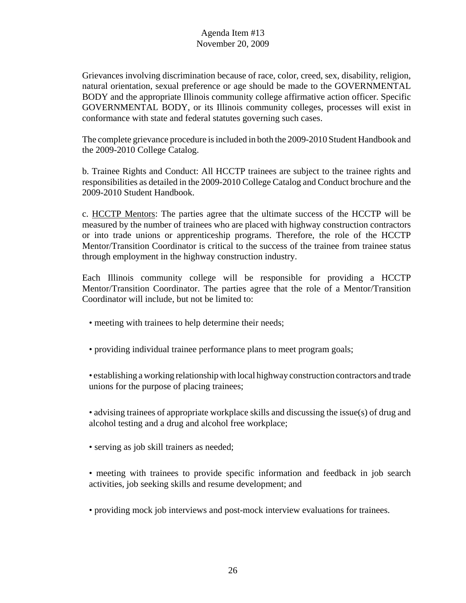Grievances involving discrimination because of race, color, creed, sex, disability, religion, natural orientation, sexual preference or age should be made to the GOVERNMENTAL BODY and the appropriate Illinois community college affirmative action officer. Specific GOVERNMENTAL BODY, or its Illinois community colleges, processes will exist in conformance with state and federal statutes governing such cases.

The complete grievance procedure is included in both the 2009-2010 Student Handbook and the 2009-2010 College Catalog.

b. Trainee Rights and Conduct: All HCCTP trainees are subject to the trainee rights and responsibilities as detailed in the 2009-2010 College Catalog and Conduct brochure and the 2009-2010 Student Handbook.

c. HCCTP Mentors: The parties agree that the ultimate success of the HCCTP will be measured by the number of trainees who are placed with highway construction contractors or into trade unions or apprenticeship programs. Therefore, the role of the HCCTP Mentor/Transition Coordinator is critical to the success of the trainee from trainee status through employment in the highway construction industry.

Each Illinois community college will be responsible for providing a HCCTP Mentor/Transition Coordinator. The parties agree that the role of a Mentor/Transition Coordinator will include, but not be limited to:

- meeting with trainees to help determine their needs;
- providing individual trainee performance plans to meet program goals;
- establishing a working relationship with local highway construction contractors and trade unions for the purpose of placing trainees;

• advising trainees of appropriate workplace skills and discussing the issue(s) of drug and alcohol testing and a drug and alcohol free workplace;

- serving as job skill trainers as needed;
- meeting with trainees to provide specific information and feedback in job search activities, job seeking skills and resume development; and
- providing mock job interviews and post-mock interview evaluations for trainees.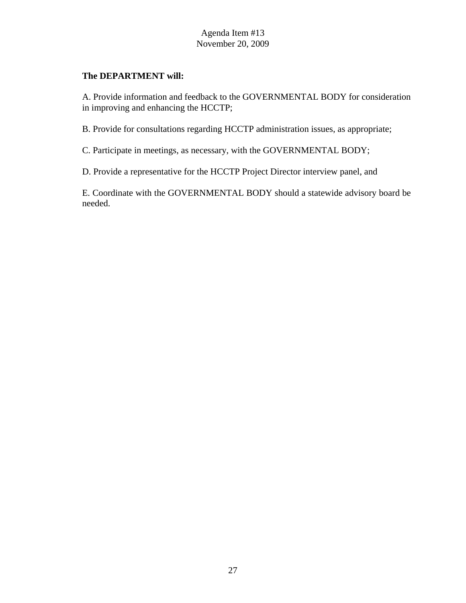## **The DEPARTMENT will:**

A. Provide information and feedback to the GOVERNMENTAL BODY for consideration in improving and enhancing the HCCTP;

B. Provide for consultations regarding HCCTP administration issues, as appropriate;

C. Participate in meetings, as necessary, with the GOVERNMENTAL BODY;

D. Provide a representative for the HCCTP Project Director interview panel, and

E. Coordinate with the GOVERNMENTAL BODY should a statewide advisory board be needed.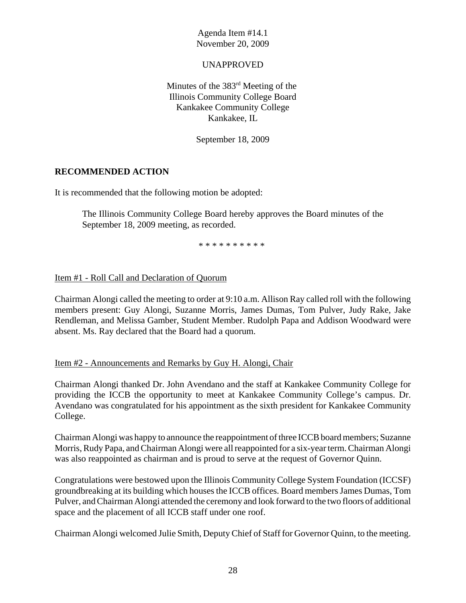UNAPPROVED

Minutes of the 383rd Meeting of the Illinois Community College Board Kankakee Community College Kankakee, IL

September 18, 2009

#### **RECOMMENDED ACTION**

It is recommended that the following motion be adopted:

The Illinois Community College Board hereby approves the Board minutes of the September 18, 2009 meeting, as recorded.

\* \* \* \* \* \* \* \* \* \*

#### Item #1 - Roll Call and Declaration of Quorum

Chairman Alongi called the meeting to order at 9:10 a.m. Allison Ray called roll with the following members present: Guy Alongi, Suzanne Morris, James Dumas, Tom Pulver, Judy Rake, Jake Rendleman, and Melissa Gamber, Student Member. Rudolph Papa and Addison Woodward were absent. Ms. Ray declared that the Board had a quorum.

#### Item #2 - Announcements and Remarks by Guy H. Alongi, Chair

Chairman Alongi thanked Dr. John Avendano and the staff at Kankakee Community College for providing the ICCB the opportunity to meet at Kankakee Community College's campus. Dr. Avendano was congratulated for his appointment as the sixth president for Kankakee Community College.

Chairman Alongi was happy to announce the reappointment of three ICCB board members; Suzanne Morris, Rudy Papa, and Chairman Alongi were all reappointed for a six-year term. Chairman Alongi was also reappointed as chairman and is proud to serve at the request of Governor Quinn.

Congratulations were bestowed upon the Illinois Community College System Foundation (ICCSF) groundbreaking at its building which houses the ICCB offices. Board members James Dumas, Tom Pulver, and Chairman Alongi attended the ceremony and look forward to the two floors of additional space and the placement of all ICCB staff under one roof.

Chairman Alongi welcomed Julie Smith, Deputy Chief of Staff for Governor Quinn, to the meeting.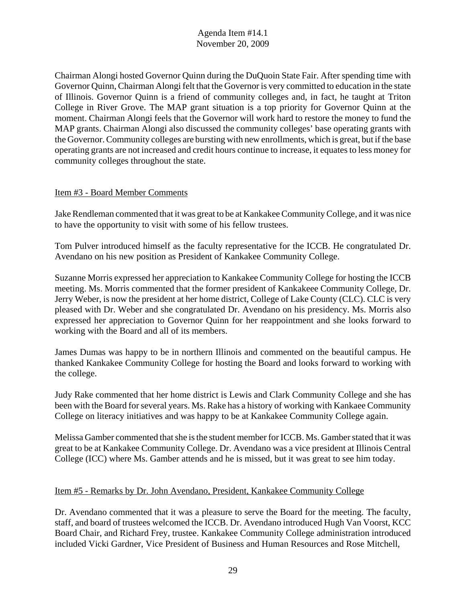Chairman Alongi hosted Governor Quinn during the DuQuoin State Fair. After spending time with Governor Quinn, Chairman Alongi felt that the Governor is very committed to education in the state of Illinois. Governor Quinn is a friend of community colleges and, in fact, he taught at Triton College in River Grove. The MAP grant situation is a top priority for Governor Quinn at the moment. Chairman Alongi feels that the Governor will work hard to restore the money to fund the MAP grants. Chairman Alongi also discussed the community colleges' base operating grants with the Governor. Community colleges are bursting with new enrollments, which is great, but if the base operating grants are not increased and credit hours continue to increase, it equates to less money for community colleges throughout the state.

#### Item #3 - Board Member Comments

Jake Rendleman commented that it was great to be at Kankakee Community College, and it was nice to have the opportunity to visit with some of his fellow trustees.

Tom Pulver introduced himself as the faculty representative for the ICCB. He congratulated Dr. Avendano on his new position as President of Kankakee Community College.

Suzanne Morris expressed her appreciation to Kankakee Community College for hosting the ICCB meeting. Ms. Morris commented that the former president of Kankakeee Community College, Dr. Jerry Weber, is now the president at her home district, College of Lake County (CLC). CLC is very pleased with Dr. Weber and she congratulated Dr. Avendano on his presidency. Ms. Morris also expressed her appreciation to Governor Quinn for her reappointment and she looks forward to working with the Board and all of its members.

James Dumas was happy to be in northern Illinois and commented on the beautiful campus. He thanked Kankakee Community College for hosting the Board and looks forward to working with the college.

Judy Rake commented that her home district is Lewis and Clark Community College and she has been with the Board for several years. Ms. Rake has a history of working with Kankaee Community College on literacy initiatives and was happy to be at Kankakee Community College again.

Melissa Gamber commented that she is the student member for ICCB. Ms. Gamber stated that it was great to be at Kankakee Community College. Dr. Avendano was a vice president at Illinois Central College (ICC) where Ms. Gamber attends and he is missed, but it was great to see him today.

## Item #5 - Remarks by Dr. John Avendano, President, Kankakee Community College

Dr. Avendano commented that it was a pleasure to serve the Board for the meeting. The faculty, staff, and board of trustees welcomed the ICCB. Dr. Avendano introduced Hugh Van Voorst, KCC Board Chair, and Richard Frey, trustee. Kankakee Community College administration introduced included Vicki Gardner, Vice President of Business and Human Resources and Rose Mitchell,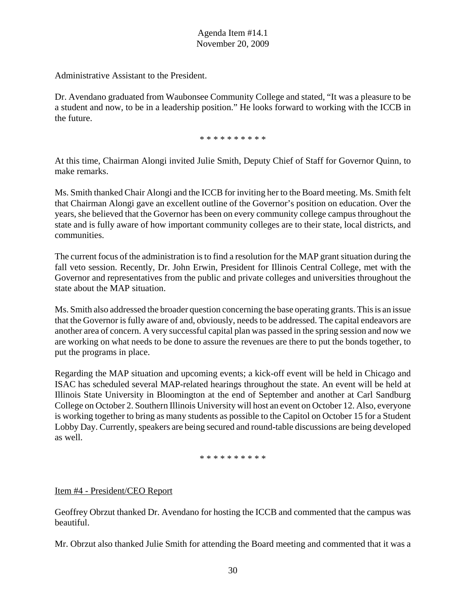Administrative Assistant to the President.

Dr. Avendano graduated from Waubonsee Community College and stated, "It was a pleasure to be a student and now, to be in a leadership position." He looks forward to working with the ICCB in the future.

\* \* \* \* \* \* \* \* \* \*

At this time, Chairman Alongi invited Julie Smith, Deputy Chief of Staff for Governor Quinn, to make remarks.

Ms. Smith thanked Chair Alongi and the ICCB for inviting her to the Board meeting. Ms. Smith felt that Chairman Alongi gave an excellent outline of the Governor's position on education. Over the years, she believed that the Governor has been on every community college campus throughout the state and is fully aware of how important community colleges are to their state, local districts, and communities.

The current focus of the administration is to find a resolution for the MAP grant situation during the fall veto session. Recently, Dr. John Erwin, President for Illinois Central College, met with the Governor and representatives from the public and private colleges and universities throughout the state about the MAP situation.

Ms. Smith also addressed the broader question concerning the base operating grants. This is an issue that the Governor is fully aware of and, obviously, needs to be addressed. The capital endeavors are another area of concern. A very successful capital plan was passed in the spring session and now we are working on what needs to be done to assure the revenues are there to put the bonds together, to put the programs in place.

Regarding the MAP situation and upcoming events; a kick-off event will be held in Chicago and ISAC has scheduled several MAP-related hearings throughout the state. An event will be held at Illinois State University in Bloomington at the end of September and another at Carl Sandburg College on October 2. Southern Illinois University will host an event on October 12. Also, everyone is working together to bring as many students as possible to the Capitol on October 15 for a Student Lobby Day. Currently, speakers are being secured and round-table discussions are being developed as well.

#### \* \* \* \* \* \* \* \* \* \*

## Item #4 - President/CEO Report

Geoffrey Obrzut thanked Dr. Avendano for hosting the ICCB and commented that the campus was beautiful.

Mr. Obrzut also thanked Julie Smith for attending the Board meeting and commented that it was a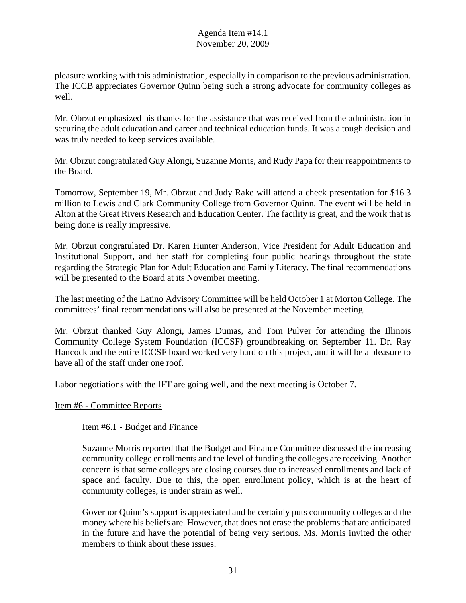pleasure working with this administration, especially in comparison to the previous administration. The ICCB appreciates Governor Quinn being such a strong advocate for community colleges as well.

Mr. Obrzut emphasized his thanks for the assistance that was received from the administration in securing the adult education and career and technical education funds. It was a tough decision and was truly needed to keep services available.

Mr. Obrzut congratulated Guy Alongi, Suzanne Morris, and Rudy Papa for their reappointments to the Board.

Tomorrow, September 19, Mr. Obrzut and Judy Rake will attend a check presentation for \$16.3 million to Lewis and Clark Community College from Governor Quinn. The event will be held in Alton at the Great Rivers Research and Education Center. The facility is great, and the work that is being done is really impressive.

Mr. Obrzut congratulated Dr. Karen Hunter Anderson, Vice President for Adult Education and Institutional Support, and her staff for completing four public hearings throughout the state regarding the Strategic Plan for Adult Education and Family Literacy. The final recommendations will be presented to the Board at its November meeting.

The last meeting of the Latino Advisory Committee will be held October 1 at Morton College. The committees' final recommendations will also be presented at the November meeting.

Mr. Obrzut thanked Guy Alongi, James Dumas, and Tom Pulver for attending the Illinois Community College System Foundation (ICCSF) groundbreaking on September 11. Dr. Ray Hancock and the entire ICCSF board worked very hard on this project, and it will be a pleasure to have all of the staff under one roof.

Labor negotiations with the IFT are going well, and the next meeting is October 7.

#### Item #6 - Committee Reports

#### Item #6.1 - Budget and Finance

Suzanne Morris reported that the Budget and Finance Committee discussed the increasing community college enrollments and the level of funding the colleges are receiving. Another concern is that some colleges are closing courses due to increased enrollments and lack of space and faculty. Due to this, the open enrollment policy, which is at the heart of community colleges, is under strain as well.

Governor Quinn's support is appreciated and he certainly puts community colleges and the money where his beliefs are. However, that does not erase the problems that are anticipated in the future and have the potential of being very serious. Ms. Morris invited the other members to think about these issues.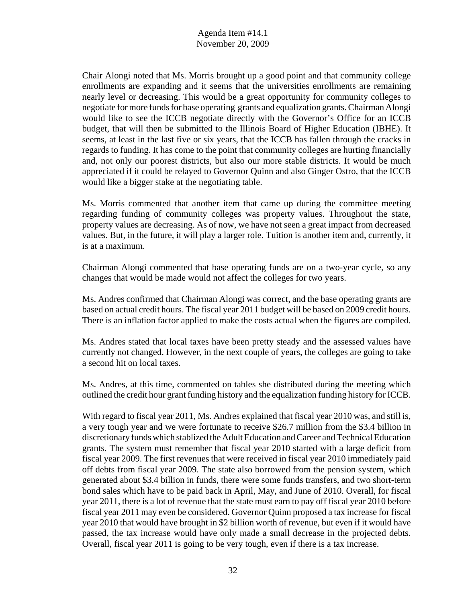Chair Alongi noted that Ms. Morris brought up a good point and that community college enrollments are expanding and it seems that the universities enrollments are remaining nearly level or decreasing. This would be a great opportunity for community colleges to negotiate for more funds for base operating grants and equalization grants. Chairman Alongi would like to see the ICCB negotiate directly with the Governor's Office for an ICCB budget, that will then be submitted to the Illinois Board of Higher Education (IBHE). It seems, at least in the last five or six years, that the ICCB has fallen through the cracks in regards to funding. It has come to the point that community colleges are hurting financially and, not only our poorest districts, but also our more stable districts. It would be much appreciated if it could be relayed to Governor Quinn and also Ginger Ostro, that the ICCB would like a bigger stake at the negotiating table.

Ms. Morris commented that another item that came up during the committee meeting regarding funding of community colleges was property values. Throughout the state, property values are decreasing. As of now, we have not seen a great impact from decreased values. But, in the future, it will play a larger role. Tuition is another item and, currently, it is at a maximum.

Chairman Alongi commented that base operating funds are on a two-year cycle, so any changes that would be made would not affect the colleges for two years.

Ms. Andres confirmed that Chairman Alongi was correct, and the base operating grants are based on actual credit hours. The fiscal year 2011 budget will be based on 2009 credit hours. There is an inflation factor applied to make the costs actual when the figures are compiled.

Ms. Andres stated that local taxes have been pretty steady and the assessed values have currently not changed. However, in the next couple of years, the colleges are going to take a second hit on local taxes.

Ms. Andres, at this time, commented on tables she distributed during the meeting which outlined the credit hour grant funding history and the equalization funding history for ICCB.

With regard to fiscal year 2011, Ms. Andres explained that fiscal year 2010 was, and still is, a very tough year and we were fortunate to receive \$26.7 million from the \$3.4 billion in discretionary funds which stablized the Adult Education and Career and Technical Education grants. The system must remember that fiscal year 2010 started with a large deficit from fiscal year 2009. The first revenues that were received in fiscal year 2010 immediately paid off debts from fiscal year 2009. The state also borrowed from the pension system, which generated about \$3.4 billion in funds, there were some funds transfers, and two short-term bond sales which have to be paid back in April, May, and June of 2010. Overall, for fiscal year 2011, there is a lot of revenue that the state must earn to pay off fiscal year 2010 before fiscal year 2011 may even be considered. Governor Quinn proposed a tax increase for fiscal year 2010 that would have brought in \$2 billion worth of revenue, but even if it would have passed, the tax increase would have only made a small decrease in the projected debts. Overall, fiscal year 2011 is going to be very tough, even if there is a tax increase.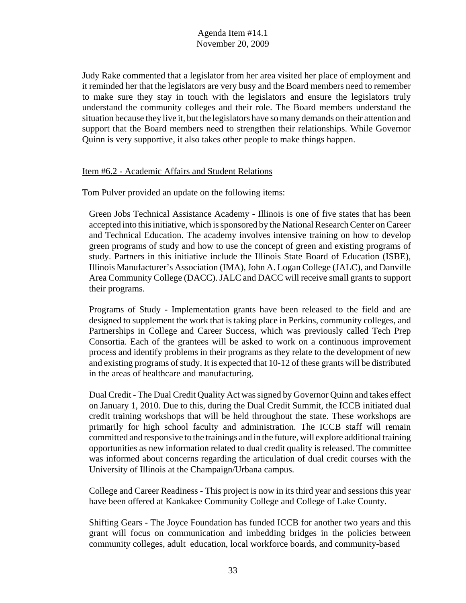Judy Rake commented that a legislator from her area visited her place of employment and it reminded her that the legislators are very busy and the Board members need to remember to make sure they stay in touch with the legislators and ensure the legislators truly understand the community colleges and their role. The Board members understand the situation because they live it, but the legislators have so many demands on their attention and support that the Board members need to strengthen their relationships. While Governor Quinn is very supportive, it also takes other people to make things happen.

#### Item #6.2 - Academic Affairs and Student Relations

Tom Pulver provided an update on the following items:

Green Jobs Technical Assistance Academy - Illinois is one of five states that has been accepted into this initiative, which is sponsored by the National Research Center on Career and Technical Education. The academy involves intensive training on how to develop green programs of study and how to use the concept of green and existing programs of study. Partners in this initiative include the Illinois State Board of Education (ISBE), Illinois Manufacturer's Association (IMA), John A. Logan College (JALC), and Danville Area Community College (DACC). JALC and DACC will receive small grants to support their programs.

Programs of Study - Implementation grants have been released to the field and are designed to supplement the work that is taking place in Perkins, community colleges, and Partnerships in College and Career Success, which was previously called Tech Prep Consortia. Each of the grantees will be asked to work on a continuous improvement process and identify problems in their programs as they relate to the development of new and existing programs of study. It is expected that 10-12 of these grants will be distributed in the areas of healthcare and manufacturing.

Dual Credit - The Dual Credit Quality Act was signed by Governor Quinn and takes effect on January 1, 2010. Due to this, during the Dual Credit Summit, the ICCB initiated dual credit training workshops that will be held throughout the state. These workshops are primarily for high school faculty and administration. The ICCB staff will remain committed and responsive to the trainings and in the future, will explore additional training opportunities as new information related to dual credit quality is released. The committee was informed about concerns regarding the articulation of dual credit courses with the University of Illinois at the Champaign/Urbana campus.

College and Career Readiness - This project is now in its third year and sessions this year have been offered at Kankakee Community College and College of Lake County.

Shifting Gears - The Joyce Foundation has funded ICCB for another two years and this grant will focus on communication and imbedding bridges in the policies between community colleges, adult education, local workforce boards, and community-based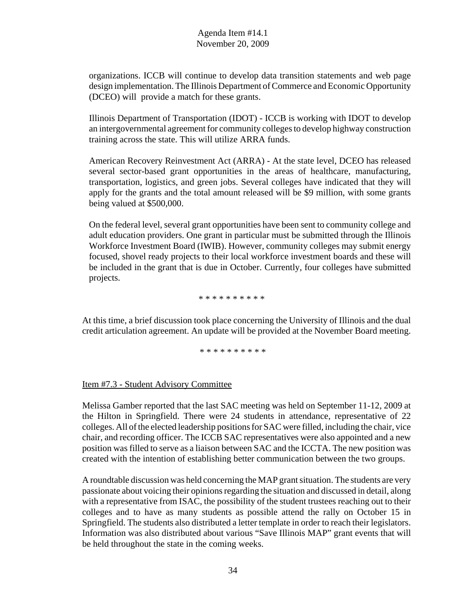organizations. ICCB will continue to develop data transition statements and web page design implementation. The Illinois Department of Commerce and Economic Opportunity (DCEO) will provide a match for these grants.

Illinois Department of Transportation (IDOT) - ICCB is working with IDOT to develop an intergovernmental agreement for community colleges to develop highway construction training across the state. This will utilize ARRA funds.

American Recovery Reinvestment Act (ARRA) - At the state level, DCEO has released several sector-based grant opportunities in the areas of healthcare, manufacturing, transportation, logistics, and green jobs. Several colleges have indicated that they will apply for the grants and the total amount released will be \$9 million, with some grants being valued at \$500,000.

On the federal level, several grant opportunities have been sent to community college and adult education providers. One grant in particular must be submitted through the Illinois Workforce Investment Board (IWIB). However, community colleges may submit energy focused, shovel ready projects to their local workforce investment boards and these will be included in the grant that is due in October. Currently, four colleges have submitted projects.

\* \* \* \* \* \* \* \* \* \*

At this time, a brief discussion took place concerning the University of Illinois and the dual credit articulation agreement. An update will be provided at the November Board meeting.

\* \* \* \* \* \* \* \* \* \*

## Item #7.3 - Student Advisory Committee

Melissa Gamber reported that the last SAC meeting was held on September 11-12, 2009 at the Hilton in Springfield. There were 24 students in attendance, representative of 22 colleges. All of the elected leadership positions for SAC were filled, including the chair, vice chair, and recording officer. The ICCB SAC representatives were also appointed and a new position was filled to serve as a liaison between SAC and the ICCTA. The new position was created with the intention of establishing better communication between the two groups.

A roundtable discussion was held concerning the MAP grant situation. The students are very passionate about voicing their opinions regarding the situation and discussed in detail, along with a representative from ISAC, the possibility of the student trustees reaching out to their colleges and to have as many students as possible attend the rally on October 15 in Springfield. The students also distributed a letter template in order to reach their legislators. Information was also distributed about various "Save Illinois MAP" grant events that will be held throughout the state in the coming weeks.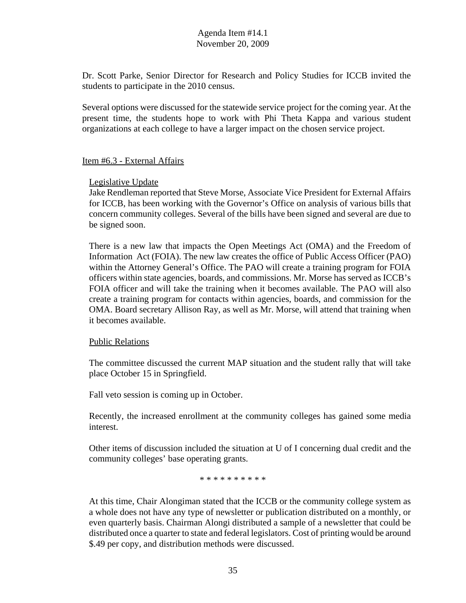Dr. Scott Parke, Senior Director for Research and Policy Studies for ICCB invited the students to participate in the 2010 census.

Several options were discussed for the statewide service project for the coming year. At the present time, the students hope to work with Phi Theta Kappa and various student organizations at each college to have a larger impact on the chosen service project.

#### Item #6.3 - External Affairs

#### Legislative Update

Jake Rendleman reported that Steve Morse, Associate Vice President for External Affairs for ICCB, has been working with the Governor's Office on analysis of various bills that concern community colleges. Several of the bills have been signed and several are due to be signed soon.

There is a new law that impacts the Open Meetings Act (OMA) and the Freedom of Information Act (FOIA). The new law creates the office of Public Access Officer (PAO) within the Attorney General's Office. The PAO will create a training program for FOIA officers within state agencies, boards, and commissions. Mr. Morse has served as ICCB's FOIA officer and will take the training when it becomes available. The PAO will also create a training program for contacts within agencies, boards, and commission for the OMA. Board secretary Allison Ray, as well as Mr. Morse, will attend that training when it becomes available.

#### Public Relations

The committee discussed the current MAP situation and the student rally that will take place October 15 in Springfield.

Fall veto session is coming up in October.

Recently, the increased enrollment at the community colleges has gained some media interest.

Other items of discussion included the situation at U of I concerning dual credit and the community colleges' base operating grants.

\* \* \* \* \* \* \* \* \* \*

At this time, Chair Alongiman stated that the ICCB or the community college system as a whole does not have any type of newsletter or publication distributed on a monthly, or even quarterly basis. Chairman Alongi distributed a sample of a newsletter that could be distributed once a quarter to state and federal legislators. Cost of printing would be around \$.49 per copy, and distribution methods were discussed.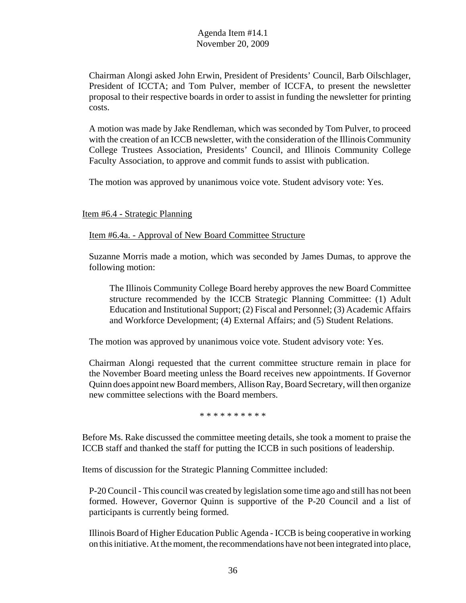Chairman Alongi asked John Erwin, President of Presidents' Council, Barb Oilschlager, President of ICCTA; and Tom Pulver, member of ICCFA, to present the newsletter proposal to their respective boards in order to assist in funding the newsletter for printing costs.

A motion was made by Jake Rendleman, which was seconded by Tom Pulver, to proceed with the creation of an ICCB newsletter, with the consideration of the Illinois Community College Trustees Association, Presidents' Council, and Illinois Community College Faculty Association, to approve and commit funds to assist with publication.

The motion was approved by unanimous voice vote. Student advisory vote: Yes.

#### Item #6.4 - Strategic Planning

Item #6.4a. - Approval of New Board Committee Structure

Suzanne Morris made a motion, which was seconded by James Dumas, to approve the following motion:

The Illinois Community College Board hereby approves the new Board Committee structure recommended by the ICCB Strategic Planning Committee: (1) Adult Education and Institutional Support; (2) Fiscal and Personnel; (3) Academic Affairs and Workforce Development; (4) External Affairs; and (5) Student Relations.

The motion was approved by unanimous voice vote. Student advisory vote: Yes.

Chairman Alongi requested that the current committee structure remain in place for the November Board meeting unless the Board receives new appointments. If Governor Quinn does appoint new Board members, Allison Ray, Board Secretary, will then organize new committee selections with the Board members.

\* \* \* \* \* \* \* \* \* \*

Before Ms. Rake discussed the committee meeting details, she took a moment to praise the ICCB staff and thanked the staff for putting the ICCB in such positions of leadership.

Items of discussion for the Strategic Planning Committee included:

P-20 Council - This council was created by legislation some time ago and still has not been formed. However, Governor Quinn is supportive of the P-20 Council and a list of participants is currently being formed.

Illinois Board of Higher Education Public Agenda - ICCB is being cooperative in working on this initiative. At the moment, the recommendations have not been integrated into place,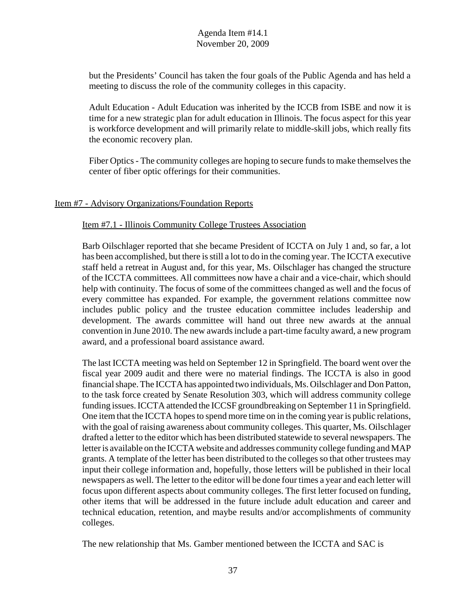but the Presidents' Council has taken the four goals of the Public Agenda and has held a meeting to discuss the role of the community colleges in this capacity.

Adult Education - Adult Education was inherited by the ICCB from ISBE and now it is time for a new strategic plan for adult education in Illinois. The focus aspect for this year is workforce development and will primarily relate to middle-skill jobs, which really fits the economic recovery plan.

Fiber Optics - The community colleges are hoping to secure funds to make themselves the center of fiber optic offerings for their communities.

#### Item #7 - Advisory Organizations/Foundation Reports

Item #7.1 - Illinois Community College Trustees Association

Barb Oilschlager reported that she became President of ICCTA on July 1 and, so far, a lot has been accomplished, but there is still a lot to do in the coming year. The ICCTA executive staff held a retreat in August and, for this year, Ms. Oilschlager has changed the structure of the ICCTA committees. All committees now have a chair and a vice-chair, which should help with continuity. The focus of some of the committees changed as well and the focus of every committee has expanded. For example, the government relations committee now includes public policy and the trustee education committee includes leadership and development. The awards committee will hand out three new awards at the annual convention in June 2010. The new awards include a part-time faculty award, a new program award, and a professional board assistance award.

The last ICCTA meeting was held on September 12 in Springfield. The board went over the fiscal year 2009 audit and there were no material findings. The ICCTA is also in good financial shape. The ICCTA has appointed two individuals, Ms. Oilschlager and Don Patton, to the task force created by Senate Resolution 303, which will address community college funding issues. ICCTA attended the ICCSF groundbreaking on September 11 in Springfield. One item that the ICCTA hopes to spend more time on in the coming year is public relations, with the goal of raising awareness about community colleges. This quarter, Ms. Oilschlager drafted a letter to the editor which has been distributed statewide to several newspapers. The letter is available on the ICCTA website and addresses community college funding and MAP grants. A template of the letter has been distributed to the colleges so that other trustees may input their college information and, hopefully, those letters will be published in their local newspapers as well. The letter to the editor will be done four times a year and each letter will focus upon different aspects about community colleges. The first letter focused on funding, other items that will be addressed in the future include adult education and career and technical education, retention, and maybe results and/or accomplishments of community colleges.

The new relationship that Ms. Gamber mentioned between the ICCTA and SAC is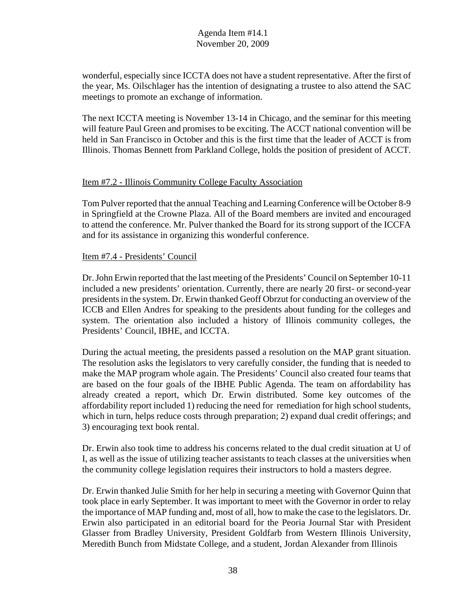wonderful, especially since ICCTA does not have a student representative. After the first of the year, Ms. Oilschlager has the intention of designating a trustee to also attend the SAC meetings to promote an exchange of information.

The next ICCTA meeting is November 13-14 in Chicago, and the seminar for this meeting will feature Paul Green and promises to be exciting. The ACCT national convention will be held in San Francisco in October and this is the first time that the leader of ACCT is from Illinois. Thomas Bennett from Parkland College, holds the position of president of ACCT.

#### Item #7.2 - Illinois Community College Faculty Association

Tom Pulver reported that the annual Teaching and Learning Conference will be October 8-9 in Springfield at the Crowne Plaza. All of the Board members are invited and encouraged to attend the conference. Mr. Pulver thanked the Board for its strong support of the ICCFA and for its assistance in organizing this wonderful conference.

#### Item #7.4 - Presidents' Council

Dr. John Erwin reported that the last meeting of the Presidents' Council on September 10-11 included a new presidents' orientation. Currently, there are nearly 20 first- or second-year presidents in the system. Dr. Erwin thanked Geoff Obrzut for conducting an overview of the ICCB and Ellen Andres for speaking to the presidents about funding for the colleges and system. The orientation also included a history of Illinois community colleges, the Presidents' Council, IBHE, and ICCTA.

During the actual meeting, the presidents passed a resolution on the MAP grant situation. The resolution asks the legislators to very carefully consider, the funding that is needed to make the MAP program whole again. The Presidents' Council also created four teams that are based on the four goals of the IBHE Public Agenda. The team on affordability has already created a report, which Dr. Erwin distributed. Some key outcomes of the affordability report included 1) reducing the need for remediation for high school students, which in turn, helps reduce costs through preparation; 2) expand dual credit offerings; and 3) encouraging text book rental.

Dr. Erwin also took time to address his concerns related to the dual credit situation at U of I, as well as the issue of utilizing teacher assistants to teach classes at the universities when the community college legislation requires their instructors to hold a masters degree.

Dr. Erwin thanked Julie Smith for her help in securing a meeting with Governor Quinn that took place in early September. It was important to meet with the Governor in order to relay the importance of MAP funding and, most of all, how to make the case to the legislators. Dr. Erwin also participated in an editorial board for the Peoria Journal Star with President Glasser from Bradley University, President Goldfarb from Western Illinois University, Meredith Bunch from Midstate College, and a student, Jordan Alexander from Illinois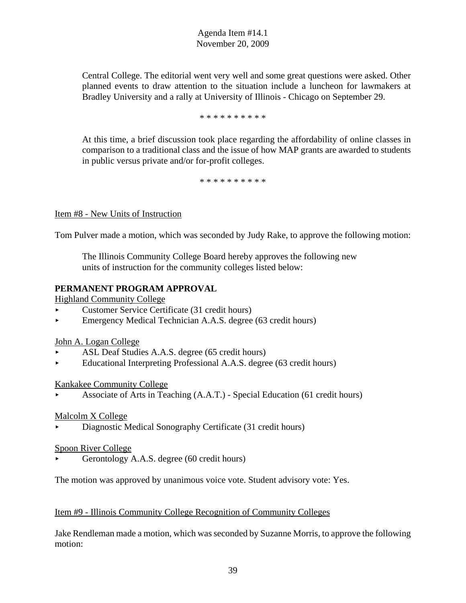Central College. The editorial went very well and some great questions were asked. Other planned events to draw attention to the situation include a luncheon for lawmakers at Bradley University and a rally at University of Illinois - Chicago on September 29.

#### \* \* \* \* \* \* \* \* \* \*

At this time, a brief discussion took place regarding the affordability of online classes in comparison to a traditional class and the issue of how MAP grants are awarded to students in public versus private and/or for-profit colleges.

\* \* \* \* \* \* \* \* \* \*

#### Item #8 - New Units of Instruction

Tom Pulver made a motion, which was seconded by Judy Rake, to approve the following motion:

The Illinois Community College Board hereby approves the following new units of instruction for the community colleges listed below:

#### **PERMANENT PROGRAM APPROVAL**

Highland Community College

- < Customer Service Certificate (31 credit hours)
- $\blacktriangleright$  Emergency Medical Technician A.A.S. degree (63 credit hours)

#### John A. Logan College

- ASL Deaf Studies A.A.S. degree (65 credit hours)
- < Educational Interpreting Professional A.A.S. degree (63 credit hours)

#### Kankakee Community College

< Associate of Arts in Teaching (A.A.T.) - Special Education (61 credit hours)

#### Malcolm X College

< Diagnostic Medical Sonography Certificate (31 credit hours)

#### Spoon River College

< Gerontology A.A.S. degree (60 credit hours)

The motion was approved by unanimous voice vote. Student advisory vote: Yes.

#### Item #9 - Illinois Community College Recognition of Community Colleges

Jake Rendleman made a motion, which was seconded by Suzanne Morris, to approve the following motion: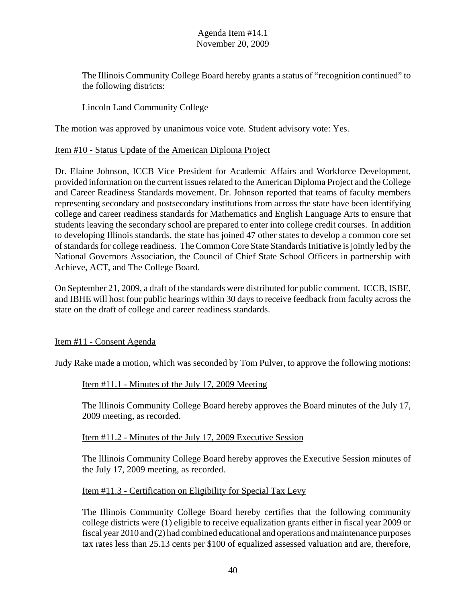The Illinois Community College Board hereby grants a status of "recognition continued" to the following districts:

# Lincoln Land Community College

The motion was approved by unanimous voice vote. Student advisory vote: Yes.

#### Item #10 - Status Update of the American Diploma Project

Dr. Elaine Johnson, ICCB Vice President for Academic Affairs and Workforce Development, provided information on the current issues related to the American Diploma Project and the College and Career Readiness Standards movement. Dr. Johnson reported that teams of faculty members representing secondary and postsecondary institutions from across the state have been identifying college and career readiness standards for Mathematics and English Language Arts to ensure that students leaving the secondary school are prepared to enter into college credit courses. In addition to developing Illinois standards, the state has joined 47 other states to develop a common core set of standards for college readiness. The Common Core State Standards Initiative is jointly led by the National Governors Association, the Council of Chief State School Officers in partnership with Achieve, ACT, and The College Board.

On September 21, 2009, a draft of the standards were distributed for public comment. ICCB, ISBE, and IBHE will host four public hearings within 30 days to receive feedback from faculty across the state on the draft of college and career readiness standards.

## Item #11 - Consent Agenda

Judy Rake made a motion, which was seconded by Tom Pulver, to approve the following motions:

## Item #11.1 - Minutes of the July 17, 2009 Meeting

The Illinois Community College Board hereby approves the Board minutes of the July 17, 2009 meeting, as recorded.

## Item #11.2 - Minutes of the July 17, 2009 Executive Session

The Illinois Community College Board hereby approves the Executive Session minutes of the July 17, 2009 meeting, as recorded.

## Item #11.3 - Certification on Eligibility for Special Tax Levy

The Illinois Community College Board hereby certifies that the following community college districts were (1) eligible to receive equalization grants either in fiscal year 2009 or fiscal year 2010 and (2) had combined educational and operations and maintenance purposes tax rates less than 25.13 cents per \$100 of equalized assessed valuation and are, therefore,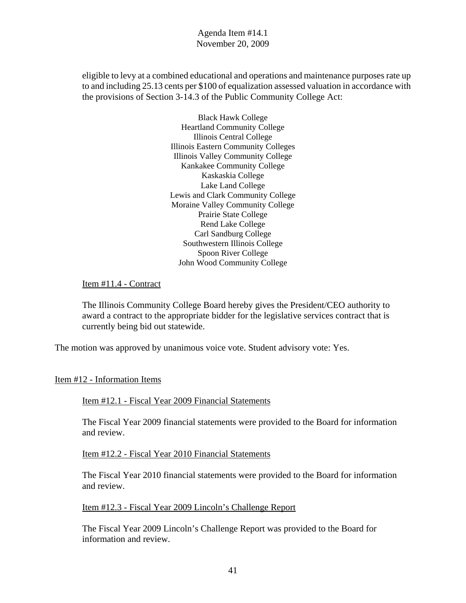eligible to levy at a combined educational and operations and maintenance purposes rate up to and including 25.13 cents per \$100 of equalization assessed valuation in accordance with the provisions of Section 3-14.3 of the Public Community College Act:

> Black Hawk College Heartland Community College Illinois Central College Illinois Eastern Community Colleges Illinois Valley Community College Kankakee Community College Kaskaskia College Lake Land College Lewis and Clark Community College Moraine Valley Community College Prairie State College Rend Lake College Carl Sandburg College Southwestern Illinois College Spoon River College John Wood Community College

#### Item #11.4 - Contract

The Illinois Community College Board hereby gives the President/CEO authority to award a contract to the appropriate bidder for the legislative services contract that is currently being bid out statewide.

The motion was approved by unanimous voice vote. Student advisory vote: Yes.

#### Item #12 - Information Items

Item #12.1 - Fiscal Year 2009 Financial Statements

The Fiscal Year 2009 financial statements were provided to the Board for information and review.

Item #12.2 - Fiscal Year 2010 Financial Statements

The Fiscal Year 2010 financial statements were provided to the Board for information and review.

Item #12.3 - Fiscal Year 2009 Lincoln's Challenge Report

The Fiscal Year 2009 Lincoln's Challenge Report was provided to the Board for information and review.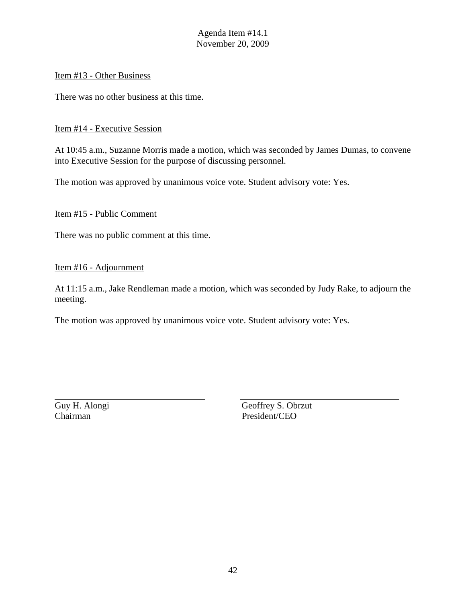#### Item #13 - Other Business

There was no other business at this time.

#### Item #14 - Executive Session

At 10:45 a.m., Suzanne Morris made a motion, which was seconded by James Dumas, to convene into Executive Session for the purpose of discussing personnel.

The motion was approved by unanimous voice vote. Student advisory vote: Yes.

#### Item #15 - Public Comment

There was no public comment at this time.

#### Item #16 - Adjournment

At 11:15 a.m., Jake Rendleman made a motion, which was seconded by Judy Rake, to adjourn the meeting.

The motion was approved by unanimous voice vote. Student advisory vote: Yes.

Chairman President/CEO

Guy H. Alongi Geoffrey S. Obrzut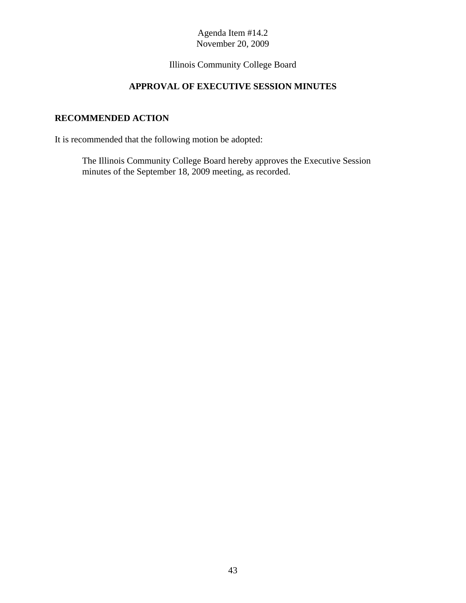# Illinois Community College Board

# **APPROVAL OF EXECUTIVE SESSION MINUTES**

# **RECOMMENDED ACTION**

It is recommended that the following motion be adopted:

The Illinois Community College Board hereby approves the Executive Session minutes of the September 18, 2009 meeting, as recorded.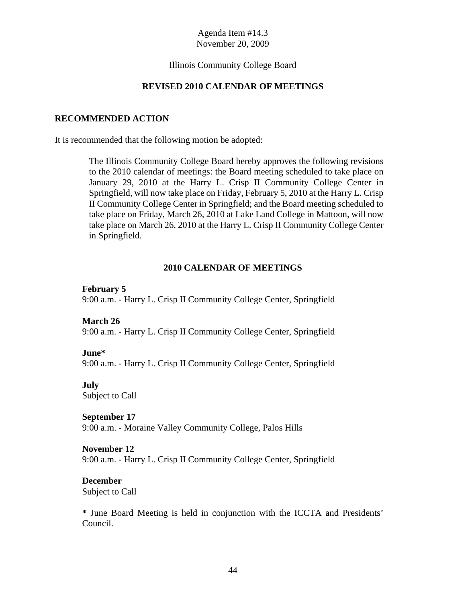#### Illinois Community College Board

#### **REVISED 2010 CALENDAR OF MEETINGS**

#### **RECOMMENDED ACTION**

It is recommended that the following motion be adopted:

The Illinois Community College Board hereby approves the following revisions to the 2010 calendar of meetings: the Board meeting scheduled to take place on January 29, 2010 at the Harry L. Crisp II Community College Center in Springfield, will now take place on Friday, February 5, 2010 at the Harry L. Crisp II Community College Center in Springfield; and the Board meeting scheduled to take place on Friday, March 26, 2010 at Lake Land College in Mattoon, will now take place on March 26, 2010 at the Harry L. Crisp II Community College Center in Springfield.

#### **2010 CALENDAR OF MEETINGS**

#### **February 5**

9:00 a.m. - Harry L. Crisp II Community College Center, Springfield

#### **March 26**

9:00 a.m. - Harry L. Crisp II Community College Center, Springfield

#### **June\***

9:00 a.m. - Harry L. Crisp II Community College Center, Springfield

#### **July**

Subject to Call

#### **September 17**

9:00 a.m. - Moraine Valley Community College, Palos Hills

#### **November 12**

9:00 a.m. - Harry L. Crisp II Community College Center, Springfield

#### **December**

Subject to Call

**\*** June Board Meeting is held in conjunction with the ICCTA and Presidents' Council.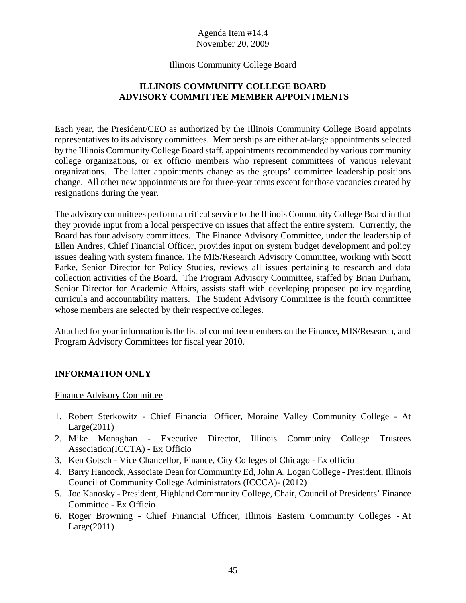#### Illinois Community College Board

# **ILLINOIS COMMUNITY COLLEGE BOARD ADVISORY COMMITTEE MEMBER APPOINTMENTS**

Each year, the President/CEO as authorized by the Illinois Community College Board appoints representatives to its advisory committees. Memberships are either at-large appointments selected by the Illinois Community College Board staff, appointments recommended by various community college organizations, or ex officio members who represent committees of various relevant organizations. The latter appointments change as the groups' committee leadership positions change. All other new appointments are for three-year terms except for those vacancies created by resignations during the year.

The advisory committees perform a critical service to the Illinois Community College Board in that they provide input from a local perspective on issues that affect the entire system. Currently, the Board has four advisory committees. The Finance Advisory Committee, under the leadership of Ellen Andres, Chief Financial Officer, provides input on system budget development and policy issues dealing with system finance. The MIS/Research Advisory Committee, working with Scott Parke, Senior Director for Policy Studies, reviews all issues pertaining to research and data collection activities of the Board. The Program Advisory Committee, staffed by Brian Durham, Senior Director for Academic Affairs, assists staff with developing proposed policy regarding curricula and accountability matters. The Student Advisory Committee is the fourth committee whose members are selected by their respective colleges.

Attached for your information is the list of committee members on the Finance, MIS/Research, and Program Advisory Committees for fiscal year 2010.

## **INFORMATION ONLY**

#### Finance Advisory Committee

- 1. Robert Sterkowitz Chief Financial Officer, Moraine Valley Community College At Large(2011)
- 2. Mike Monaghan Executive Director, Illinois Community College Trustees Association(ICCTA) - Ex Officio
- 3. Ken Gotsch Vice Chancellor, Finance, City Colleges of Chicago Ex officio
- 4. Barry Hancock, Associate Dean for Community Ed, John A. Logan College President, Illinois Council of Community College Administrators (ICCCA)- (2012)
- 5. Joe Kanosky President, Highland Community College, Chair, Council of Presidents' Finance Committee - Ex Officio
- 6. Roger Browning Chief Financial Officer, Illinois Eastern Community Colleges At  $Large(2011)$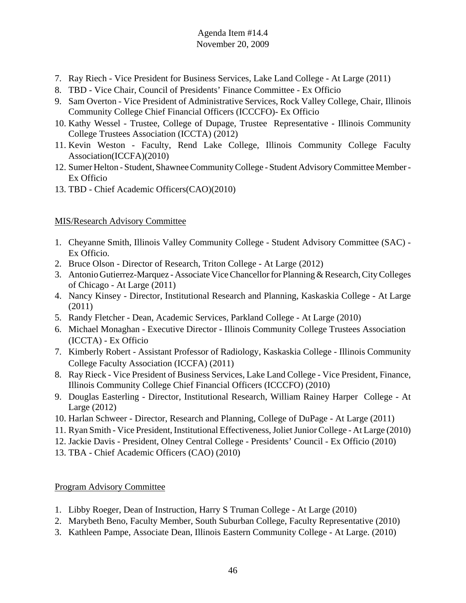- 7. Ray Riech Vice President for Business Services, Lake Land College At Large (2011)
- 8. TBD Vice Chair, Council of Presidents' Finance Committee Ex Officio
- 9. Sam Overton Vice President of Administrative Services, Rock Valley College, Chair, Illinois Community College Chief Financial Officers (ICCCFO)- Ex Officio
- 10. Kathy Wessel Trustee, College of Dupage, Trustee Representative Illinois Community College Trustees Association (ICCTA) (2012)
- 11. Kevin Weston Faculty, Rend Lake College, Illinois Community College Faculty Association(ICCFA)(2010)
- 12. Sumer Helton Student, Shawnee Community College Student Advisory Committee Member Ex Officio
- 13. TBD Chief Academic Officers(CAO)(2010)

# MIS/Research Advisory Committee

- 1. Cheyanne Smith, Illinois Valley Community College Student Advisory Committee (SAC) Ex Officio.
- 2. Bruce Olson Director of Research, Triton College At Large (2012)
- 3. Antonio Gutierrez-Marquez Associate Vice Chancellor for Planning & Research, City Colleges of Chicago - At Large (2011)
- 4. Nancy Kinsey Director, Institutional Research and Planning, Kaskaskia College At Large (2011)
- 5. Randy Fletcher Dean, Academic Services, Parkland College At Large (2010)
- 6. Michael Monaghan Executive Director Illinois Community College Trustees Association (ICCTA) - Ex Officio
- 7. Kimberly Robert Assistant Professor of Radiology, Kaskaskia College Illinois Community College Faculty Association (ICCFA) (2011)
- 8. Ray Rieck Vice President of Business Services, Lake Land College Vice President, Finance, Illinois Community College Chief Financial Officers (ICCCFO) (2010)
- 9. Douglas Easterling Director, Institutional Research, William Rainey Harper College At Large (2012)
- 10. Harlan Schweer Director, Research and Planning, College of DuPage At Large (2011)
- 11. Ryan Smith Vice President, Institutional Effectiveness, Joliet Junior College At Large (2010)
- 12. Jackie Davis President, Olney Central College Presidents' Council Ex Officio (2010)
- 13. TBA Chief Academic Officers (CAO) (2010)

## Program Advisory Committee

- 1. Libby Roeger, Dean of Instruction, Harry S Truman College At Large (2010)
- 2. Marybeth Beno, Faculty Member, South Suburban College, Faculty Representative (2010)
- 3. Kathleen Pampe, Associate Dean, Illinois Eastern Community College At Large. (2010)